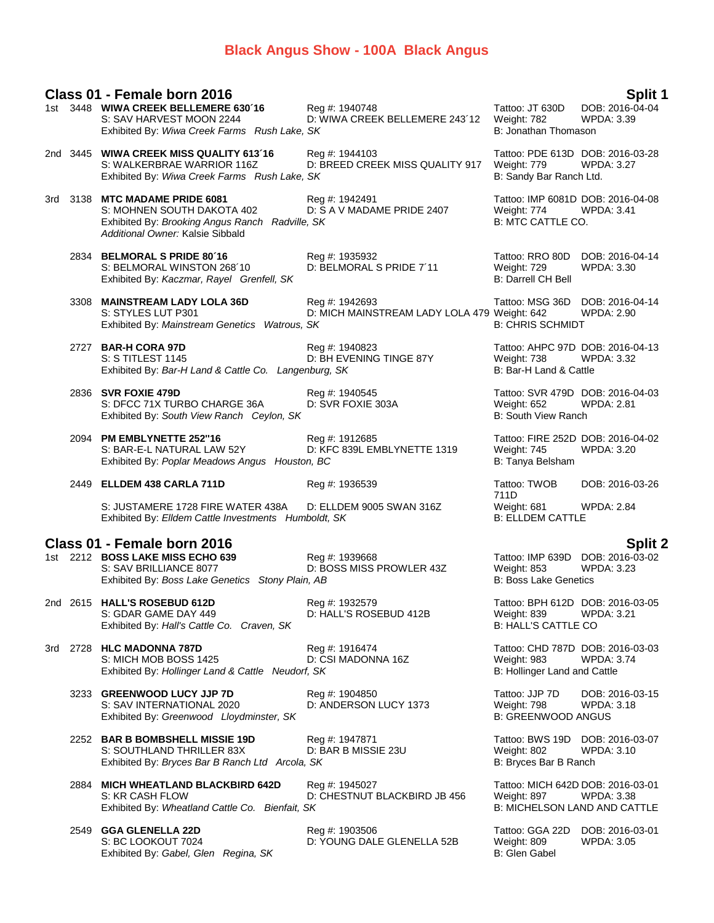# **Black Angus Show - 100A Black Angus**

# **Class 01 - Female born 2016 Split 1**

|     | 1st 3448 WIWA CREEK BELLEMERE 630'16<br>S: SAV HARVEST MOON 2244<br>Exhibited By: Wiwa Creek Farms Rush Lake, SK                                    | Reg #: 1940748<br>D: WIWA CREEK BELLEMERE 243'12               | Tattoo: JT 630D<br>Weight: 782<br>B: Jonathan Thomason                                  | DOB: 2016-04-04<br>WPDA: 3.39        |
|-----|-----------------------------------------------------------------------------------------------------------------------------------------------------|----------------------------------------------------------------|-----------------------------------------------------------------------------------------|--------------------------------------|
|     | 2nd 3445 WIWA CREEK MISS QUALITY 613'16<br>S: WALKERBRAE WARRIOR 116Z<br>Exhibited By: Wiwa Creek Farms Rush Lake, SK                               | Reg #: 1944103<br>D: BREED CREEK MISS QUALITY 917              | Tattoo: PDE 613D DOB: 2016-03-28<br>Weight: 779<br>B: Sandy Bar Ranch Ltd.              | <b>WPDA: 3.27</b>                    |
|     | 3rd 3138 MTC MADAME PRIDE 6081<br>S: MOHNEN SOUTH DAKOTA 402<br>Exhibited By: Brooking Angus Ranch Radville, SK<br>Additional Owner: Kalsie Sibbald | Reg #: 1942491<br>D: S A V MADAME PRIDE 2407                   | Tattoo: IMP 6081D DOB: 2016-04-08<br>Weight: 774<br>B: MTC CATTLE CO.                   | WPDA: 3.41                           |
|     | 2834 BELMORAL S PRIDE 80'16<br>S: BELMORAL WINSTON 268'10<br>Exhibited By: Kaczmar, Rayel Grenfell, SK                                              | Reg #: 1935932<br>D: BELMORAL S PRIDE 7'11                     | Tattoo: RRO 80D DOB: 2016-04-14<br>Weight: 729<br><b>B: Darrell CH Bell</b>             | <b>WPDA: 3.30</b>                    |
|     | 3308 MAINSTREAM LADY LOLA 36D<br>S: STYLES LUT P301<br>Exhibited By: Mainstream Genetics Watrous, SK                                                | Reg #: 1942693<br>D: MICH MAINSTREAM LADY LOLA 479 Weight: 642 | Tattoo: MSG 36D DOB: 2016-04-14<br><b>B: CHRIS SCHMIDT</b>                              | WPDA: 2.90                           |
|     | 2727 BAR-H CORA 97D<br>S: S TITLEST 1145<br>Exhibited By: Bar-H Land & Cattle Co. Langenburg, SK                                                    | Reg #: 1940823<br>D: BH EVENING TINGE 87Y                      | Tattoo: AHPC 97D DOB: 2016-04-13<br>Weight: 738<br>B: Bar-H Land & Cattle               | WPDA: 3.32                           |
|     | 2836 SVR FOXIE 479D<br>S: DFCC 71X TURBO CHARGE 36A<br>Exhibited By: South View Ranch Ceylon, SK                                                    | Reg #: 1940545<br>D: SVR FOXIE 303A                            | Tattoo: SVR 479D DOB: 2016-04-03<br>Weight: 652<br>B: South View Ranch                  | <b>WPDA: 2.81</b>                    |
|     | 2094 PM EMBLYNETTE 252"16<br>S: BAR-E-L NATURAL LAW 52Y<br>Exhibited By: Poplar Meadows Angus Houston, BC                                           | Reg #: 1912685<br>D: KFC 839L EMBLYNETTE 1319                  | Tattoo: FIRE 252D DOB: 2016-04-02<br>Weight: 745<br>B: Tanya Belsham                    | WPDA: 3.20                           |
|     | 2449 ELLDEM 438 CARLA 711D                                                                                                                          | Reg #: 1936539                                                 | Tattoo: TWOB<br>711D                                                                    | DOB: 2016-03-26                      |
|     | S: JUSTAMERE 1728 FIRE WATER 438A<br>Exhibited By: Elldem Cattle Investments Humboldt, SK                                                           | D: ELLDEM 9005 SWAN 316Z                                       | Weight: 681<br><b>B: ELLDEM CATTLE</b>                                                  | <b>WPDA: 2.84</b>                    |
|     | Class 01 - Female born 2016                                                                                                                         |                                                                |                                                                                         | <b>Split 2</b>                       |
|     | 1st 2212 BOSS LAKE MISS ECHO 639<br>S: SAV BRILLIANCE 8077<br>Exhibited By: Boss Lake Genetics Stony Plain, AB                                      | Reg #: 1939668<br>D: BOSS MISS PROWLER 43Z                     | Tattoo: IMP 639D DOB: 2016-03-02<br>Weight: 853<br><b>B: Boss Lake Genetics</b>         | WPDA: 3.23                           |
|     | 2nd 2615 HALL'S ROSEBUD 612D<br>S: GDAR GAME DAY 449<br>Exhibited By: Hall's Cattle Co. Craven, SK                                                  | Reg #: 1932579<br>D: HALL'S ROSEBUD 412B                       | Tattoo: BPH 612D DOB: 2016-03-05<br>Weight: 839<br><b>B: HALL'S CATTLE CO</b>           | <b>WPDA: 3.21</b>                    |
| 3rd | 2728 HLC MADONNA 787D<br>S: MICH MOB BOSS 1425<br>Exhibited By: Hollinger Land & Cattle Neudorf, SK                                                 | Reg #: 1916474<br>D: CSI MADONNA 16Z                           | Tattoo: CHD 787D DOB: 2016-03-03<br>Weight: 983<br>B: Hollinger Land and Cattle         | <b>WPDA: 3.74</b>                    |
|     | 3233 GREENWOOD LUCY JJP 7D<br>S: SAV INTERNATIONAL 2020<br>Exhibited By: Greenwood Lloydminster, SK                                                 | Reg #: 1904850<br>D: ANDERSON LUCY 1373                        | Tattoo: JJP 7D<br>Weight: 798<br><b>B: GREENWOOD ANGUS</b>                              | DOB: 2016-03-15<br>WPDA: 3.18        |
|     | 2252 BAR B BOMBSHELL MISSIE 19D<br>S: SOUTHLAND THRILLER 83X<br>Exhibited By: Bryces Bar B Ranch Ltd Arcola, SK                                     | Reg #: 1947871<br>D: BAR B MISSIE 23U                          | Tattoo: BWS 19D DOB: 2016-03-07<br>Weight: 802<br>B: Bryces Bar B Ranch                 | WPDA: 3.10                           |
|     | 2884 MICH WHEATLAND BLACKBIRD 642D<br>S: KR CASH FLOW<br>Exhibited By: Wheatland Cattle Co. Bienfait, SK                                            | Reg #: 1945027<br>D: CHESTNUT BLACKBIRD JB 456                 | Tattoo: MICH 642D DOB: 2016-03-01<br>Weight: 897<br><b>B: MICHELSON LAND AND CATTLE</b> | <b>WPDA: 3.38</b>                    |
|     | 2549 GGA GLENELLA 22D<br>S: BC LOOKOUT 7024<br>Exhibited By: Gabel, Glen Regina, SK                                                                 | Reg #: 1903506<br>D: YOUNG DALE GLENELLA 52B                   | Tattoo: GGA 22D<br>Weight: 809<br>B: Glen Gabel                                         | DOB: 2016-03-01<br><b>WPDA: 3.05</b> |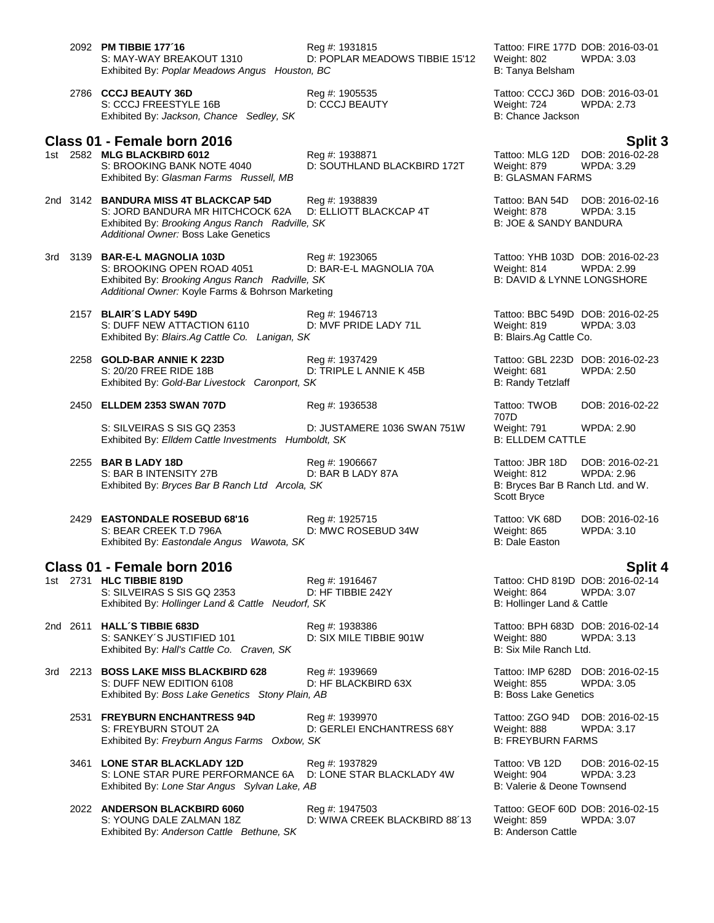- 2092 **PM TIBBIE 177´16** Reg #: 1931815 Tattoo: FIRE 177D DOB: 2016-03-01<br>S: MAY-WAY BREAKOUT 1310 D: POPLAR MEADOWS TIBBIE 15'12 Weight: 802 WPDA: 3.03 D: POPLAR MEADOWS TIBBIE 15'12 Weight: 802 WPDA: 3.03 Exhibited By: *Poplar Meadows Angus Houston, BC* B: Tanya Belsham B: Tanya Belsham 2786 **CCCJ BEAUTY 36D** Reg #: 1905535 Tattoo: CCCJ 36D DOB: 2016-03-01 S: CCCJ FREESTYLE 16B D: CCCJ BEAUTY Weight: 724 WPDA: 2.73 Exhibited By: *Jackson, Chance Sedley, SK* B: Chance Jackson B: Chance Jackson **Class 01 - Female born 2016 Split 3** 1st 2582 **MLG BLACKBIRD 6012** Reg #: 1938871 Tattoo: MLG 12D DOB: 2016-02-28 D: SOUTHLAND BLACKBIRD 172T Weight: 879 WI<br>B: GLASMAN FARMS Exhibited By: Glasman Farms Russell, MB 2nd 3142 **BANDURA MISS 4T BLACKCAP 54D** Reg #: 1938839 Tattoo: BAN 54D DOB: 2016-02-16 S: JORD BANDURA MR HITCHCOCK 62A D: ELLIOTT BLACKCAP 4T Weight: 878 WPDA: 3.15<br>Exhibited By: *Brooking Angus Ranch Radville. SK* B: JOE & SANDY BANDURA Exhibited By: *Brooking Angus Ranch Radville, SK Additional Owner:* Boss Lake Genetics 3rd 3139 **BAR-E-L MAGNOLIA 103D** Reg #: 1923065 **Tattoo: YHB 103D DOB: 2016-02-23**<br>S: BROOKING OPEN ROAD 4051 D: BAR-E-L MAGNOLIA 70A Weight: 814 WPDA: 2.99 S: BROOKING OPEN ROAD 4051 Exhibited By: *Brooking Angus Ranch Radville, SK* B: DAVID & LYNNE LONGSHORE *Additional Owner:* Koyle Farms & Bohrson Marketing 2157 **BLAIR´S LADY 549D** Reg #: 1946713 Tattoo: BBC 549D DOB: 2016-02-25 S: DUFF NEW ATTACTION 6110 D: MVF PRIDE LADY 71L Weight: 819 WPDA: 3.03 Exhibited By: *Blairs.Ag Cattle Co. Lanigan, SK* B: Blairs.Ag Cattle Co. 2258 **GOLD-BAR ANNIE K 223D** Reg #: 1937429 Tattoo: GBL 223D DOB: 2016-02-23 S: 20/20 FREE RIDE 18B D: TRIPLE L ANNIE K 45B Weight: 681 WPDA: 2.50 Exhibited By: Gold-Bar Livestock Caronport, SK B: Randy Tetzlaff 2450 **ELLDEM 2353 SWAN 707D** Reg #: 1936538 Tattoo: TWOB S: SILVEIRAS S SIS GQ 2353 D: JUSTAMERE 1036 SWAN 751W Weight: 791 WPDA: 2.90 Exhibited By: *Elldem Cattle Investments Humboldt, SK* B: ELLDEM CATTLE 2255 **BAR B LADY 18D Reg #: 1906667 Tattoo: JBR 18D DOB: 2016-02-21 S: BAR B INTENSITY 27B D: BAR B LADY 87A** Weight: 812 **WPDA: 2.96** S: BAR B INTENSITY 27B D: BAR B LADY 87A Weight: 812 WPDA: 2.96 Exhibited By: *Bryces Bar B Ranch Ltd Arcola, SK* 2429 **EASTONDALE ROSEBUD 68'16** Reg #: 1925715 Tattoo: VK 68D DOB: 2016-02-16 D: MWC ROSEBUD 34W Weight: 865<br>B: Dale Easton Exhibited By: Eastondale Angus Wawota, SK **Class 01 - Female born 2016 Split 4** 1st 2731 **HLC TIBBIE 819D**<br>144: 1916467 Tattoo: CHD 819D DOB: 2016-02-14<br>14. S: SILVEIRAS S SIS GQ 2353 D: HF TIBBIE 242Y Weight: 864 WPDA: 3.07 S: SILVEIRAS S SIS GQ 2353 D: HF TIBBIE 242Y Weight: 864 Exhibited By: *Hollinger Land & Cattle Neudorf, SK* B: Hollinger Land & Cattle Neudorf, SK
	- 2nd 2611 **HALL´S TIBBIE 683D** Reg #: 1938386 Tattoo: BPH 683D DOB: 2016-02-14 S: SANKEY'S JUSTIFIED 101 Exhibited By: *Hall's Cattle Co. Craven, SK* B: Six Mile Ranch Ltd.

3rd 2213 **BOSS LAKE MISS BLACKBIRD 628** Reg #: 1939669 **Tattoo: IMP 628D DOB: 2016-02-15**<br>S: DUFF NEW EDITION 6108 D: HF BLACKBIRD 63X Weight: 855 WPDA: 3.05 S: DUFF NEW EDITION 6108 D: HF BLACKBIRD 63X Weight: 855 WPDA: 3.05 Exhibited By: *Boss Lake Genetics Stony Plain, AB* B: **Boss Lake Genetics** Stone B: Boss Lake Genetics Bishop B: Boss Lake Genetics Stone Plain, AB

2531 **FREYBURN ENCHANTRESS 94D** Reg #: 1939970 Tattoo: ZGO 94D DOB: 2016-02-15 D: GERLEI ENCHANTRESS 68Y Weight: 888 WPI<br>SK B: FREYBURN FARMS Exhibited By: Freyburn Angus Farms Oxbow, SK

- 3461 **LONE STAR BLACKLADY 12D** Reg #: 1937829 Tattoo: VB 12D DOB: 2016-02-15 S: LONE STAR PURE PERFORMANCE 6A D: LONE STAR BLACKLADY 4W Weight: 904 WPDA: 3.23<br>Exhibited Bv: *Lone Star Angus Sylvan Lake, AB* B: Valerie & Deone Townsend Exhibited By: Lone Star Angus Sylvan Lake, AB
- 2022 **ANDERSON BLACKBIRD 6060** Reg #: 1947503 Tattoo: GEOF 60D DOB: 2016-02-15 Exhibited By: *Anderson Cattle Bethune, SK* B: Anderson Cattle Bethune, SK

D: WIWA CREEK BLACKBIRD 88'13

707D<br>Weight: 791 DOB: 2016-02-22

Scott Bryce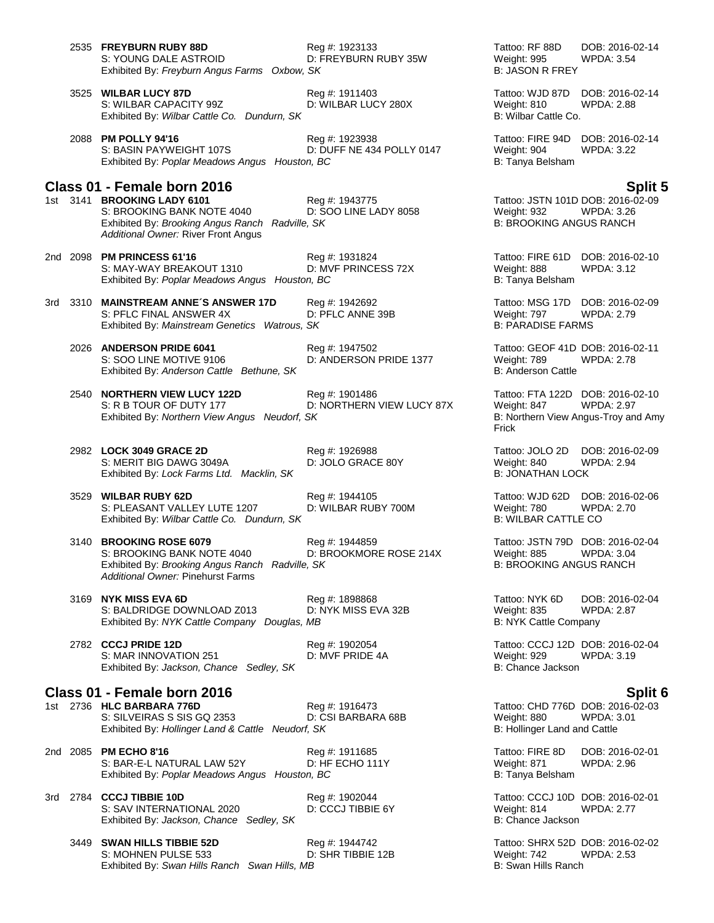|     | 2535 FREYBURN RUBY 88D<br>S: YOUNG DALE ASTROID<br>Exhibited By: Freyburn Angus Farms Oxbow, SK                                                      | Reg #: 1923133<br>D: FREYBURN RUBY 35W      | Tattoo: RF 88D<br>DOB: 2016-02-14<br>Weight: 995<br>WPDA: 3.54<br><b>B: JASON R FREY</b>                             |
|-----|------------------------------------------------------------------------------------------------------------------------------------------------------|---------------------------------------------|----------------------------------------------------------------------------------------------------------------------|
|     | 3525 WILBAR LUCY 87D<br>S: WILBAR CAPACITY 99Z<br>Exhibited By: Wilbar Cattle Co. Dundurn, SK                                                        | Reg #: 1911403<br>D: WILBAR LUCY 280X       | DOB: 2016-02-14<br>Tattoo: WJD 87D<br>Weight: 810<br>WPDA: 2.88<br>B: Wilbar Cattle Co.                              |
|     | 2088 PM POLLY 94'16<br>S: BASIN PAYWEIGHT 107S<br>Exhibited By: Poplar Meadows Angus Houston, BC                                                     | Reg #: 1923938<br>D: DUFF NE 434 POLLY 0147 | Tattoo: FIRE 94D DOB: 2016-02-14<br>Weight: 904<br>WPDA: 3.22<br>B: Tanya Belsham                                    |
|     | Class 01 - Female born 2016                                                                                                                          |                                             | <b>Split 5</b>                                                                                                       |
|     | 1st 3141 BROOKING LADY 6101<br>S: BROOKING BANK NOTE 4040<br>Exhibited By: Brooking Angus Ranch Radville, SK<br>Additional Owner: River Front Angus  | Reg #: 1943775<br>D: SOO LINE LADY 8058     | Tattoo: JSTN 101D DOB: 2016-02-09<br>Weight: 932<br>WPDA: 3.26<br><b>B: BROOKING ANGUS RANCH</b>                     |
|     | 2nd 2098 PM PRINCESS 61'16<br>S: MAY-WAY BREAKOUT 1310<br>Exhibited By: Poplar Meadows Angus Houston, BC                                             | Reg #: 1931824<br>D: MVF PRINCESS 72X       | Tattoo: FIRE 61D<br>DOB: 2016-02-10<br>Weight: 888<br>WPDA: 3.12<br>B: Tanya Belsham                                 |
| 3rd | 3310 MAINSTREAM ANNE'S ANSWER 17D<br>S: PFLC FINAL ANSWER 4X<br>Exhibited By: Mainstream Genetics Watrous, SK                                        | Reg #: 1942692<br>D: PFLC ANNE 39B          | Tattoo: MSG 17D DOB: 2016-02-09<br>Weight: 797<br><b>WPDA: 2.79</b><br><b>B: PARADISE FARMS</b>                      |
|     | 2026 ANDERSON PRIDE 6041<br>S: SOO LINE MOTIVE 9106<br>Exhibited By: Anderson Cattle Bethune, SK                                                     | Reg #: 1947502<br>D: ANDERSON PRIDE 1377    | Tattoo: GEOF 41D DOB: 2016-02-11<br>Weight: 789<br>WPDA: 2.78<br><b>B: Anderson Cattle</b>                           |
|     | 2540 NORTHERN VIEW LUCY 122D<br>S: R B TOUR OF DUTY 177<br>Exhibited By: Northern View Angus Neudorf, SK                                             | Reg #: 1901486<br>D: NORTHERN VIEW LUCY 87X | Tattoo: FTA 122D DOB: 2016-02-10<br>Weight: 847<br><b>WPDA: 2.97</b><br>B: Northern View Angus-Troy and Amy<br>Frick |
|     | 2982 LOCK 3049 GRACE 2D<br>S: MERIT BIG DAWG 3049A<br>Exhibited By: Lock Farms Ltd. Macklin, SK                                                      | Reg #: 1926988<br>D: JOLO GRACE 80Y         | Tattoo: JOLO 2D<br>DOB: 2016-02-09<br>Weight: 840<br><b>WPDA: 2.94</b><br><b>B: JONATHAN LOCK</b>                    |
|     | 3529 WILBAR RUBY 62D<br>S: PLEASANT VALLEY LUTE 1207<br>Exhibited By: Wilbar Cattle Co. Dundurn, SK                                                  | Reg #: 1944105<br>D: WILBAR RUBY 700M       | Tattoo: WJD 62D DOB: 2016-02-06<br>Weight: 780<br><b>WPDA: 2.70</b><br><b>B: WILBAR CATTLE CO</b>                    |
|     | 3140 BROOKING ROSE 6079<br>S: BROOKING BANK NOTE 4040<br>Exhibited By: Brooking Angus Ranch Radville, SK<br><b>Additional Owner: Pinehurst Farms</b> | Reg #: 1944859<br>D: BROOKMORE ROSE 214X    | Tattoo: JSTN 79D DOB: 2016-02-04<br>Weight: 885<br>WPDA: 3.04<br><b>B: BROOKING ANGUS RANCH</b>                      |
|     | 3169 NYK MISS EVA 6D<br>S: BALDRIDGE DOWNLOAD Z013<br>Exhibited By: NYK Cattle Company Douglas, MB                                                   | Reg #: 1898868<br>D: NYK MISS EVA 32B       | Tattoo: NYK 6D<br>DOB: 2016-02-04<br>Weight: 835<br>WPDA: 2.87<br>B: NYK Cattle Company                              |
|     | 2782 CCCJ PRIDE 12D<br>S: MAR INNOVATION 251<br>Exhibited By: Jackson, Chance Sedley, SK                                                             | Reg #: 1902054<br>D: MVF PRIDE 4A           | Tattoo: CCCJ 12D DOB: 2016-02-04<br>Weight: 929<br>WPDA: 3.19<br>B: Chance Jackson                                   |
|     | Class 01 - Female born 2016                                                                                                                          |                                             | Split 6                                                                                                              |
|     | 1st 2736 HLC BARBARA 776D<br>S: SILVEIRAS S SIS GQ 2353<br>Exhibited By: Hollinger Land & Cattle Neudorf, SK                                         | Reg #: 1916473<br>D: CSI BARBARA 68B        | Tattoo: CHD 776D DOB: 2016-02-03<br><b>WPDA: 3.01</b><br>Weight: 880<br>B: Hollinger Land and Cattle                 |
|     | 2nd 2085 PM ECHO 8'16<br>S: BAR-E-L NATURAL LAW 52Y<br>Exhibited By: Poplar Meadows Angus Houston, BC                                                | Reg #: 1911685<br>D: HF ECHO 111Y           | Tattoo: FIRE 8D<br>DOB: 2016-02-01<br>Weight: 871<br>WPDA: 2.96<br>B: Tanya Belsham                                  |
| 3rd | 2784 CCCJ TIBBIE 10D<br>S: SAV INTERNATIONAL 2020<br>Exhibited By: Jackson, Chance Sedley, SK                                                        | Reg #: 1902044<br>D: CCCJ TIBBIE 6Y         | Tattoo: CCCJ 10D DOB: 2016-02-01<br>Weight: 814<br><b>WPDA: 2.77</b><br>B: Chance Jackson                            |
|     | 3449 SWAN HILLS TIBBIE 52D<br>S: MOHNEN PULSE 533<br>Exhibited By: Swan Hills Ranch Swan Hills, MB                                                   | Reg #: 1944742<br>D: SHR TIBBIE 12B         | Tattoo: SHRX 52D DOB: 2016-02-02<br>Weight: 742<br><b>WPDA: 2.53</b><br>B: Swan Hills Ranch                          |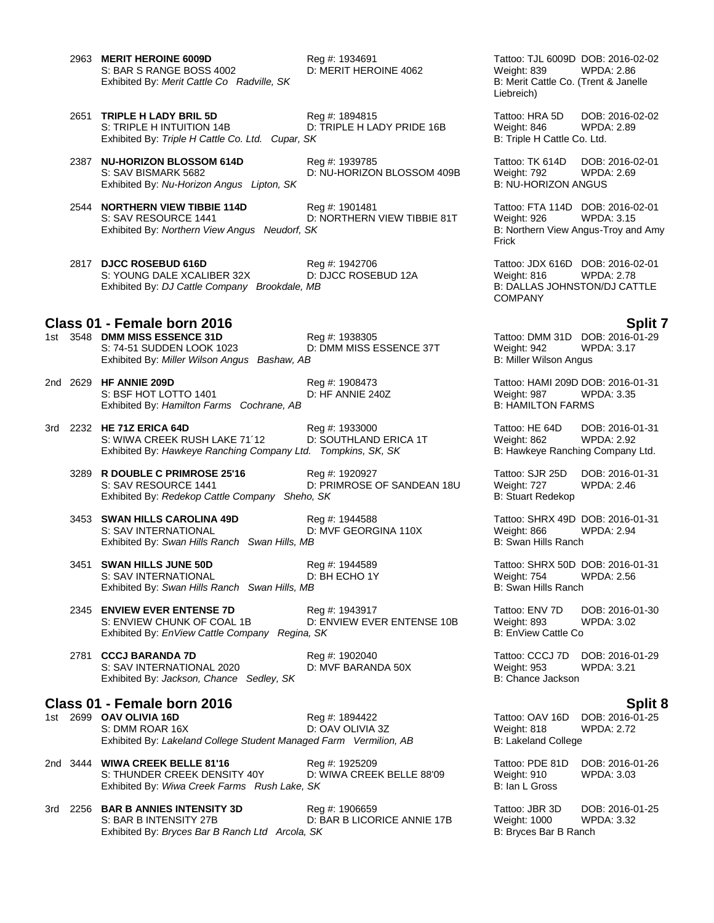2963 **MERIT HEROINE 6009D** Reg #: 1934691 Tattoo: TJL 6009D DOB: 2016-02-02 S: BAR S RANGE BOSS 4002 D: MERIT HEROINE 4062 Weight: 839 WPDA: 2.86<br>Exhibited By: *Merit Cattle Co Radville, SK* B: Merit Cattle Co. (Trent & Janelle Exhibited By: Merit Cattle Co Radville, SK

- 2651 **TRIPLE H LADY BRIL 5D** Reg #: 1894815 **Tattoo: HRA 5D** DOB: 2016-02-02<br>S: TRIPLE H INTUITION 14B D: TRIPLE H LADY PRIDE 16B Weight: 846 WPDA: 2.89 S: TRIPLE H INTUITION 14B D: TRIPLE H LADY PRIDE 16B Weight: 846 Exhibited By: Triple H Cattle Co. Ltd. Cupar, SK B: Triple H Cattle Co. Ltd. Cupar, SK B: Triple H Cattle Co. Ltd.
- 2387 **NU-HORIZON BLOSSOM 614D** Reg #: 1939785 Tattoo: TK 614D DOB: 2016-02-01 S: SAV BISMARK 5682 **D: NU-HORIZON BLOSSOM 409B** Weight: 792 WPDA: 2.69 Exhibited By: *Nu-Horizon Angus Lipton, SK* B: NU-HORIZON ANGUS

2544 **NORTHERN VIEW TIBBIE 114D** Reg #: 1901481 Tattoo: FTA 114D DOB: 2016-02-01 S: SAV RESOURCE 1441 D: NORTHERN VIEW TIBBIE 81T Weight: 926 WPDA: 3.15 Exhibited By: *Northern View Angus Neudorf, SK* B: Northern View Angus-Troy and Amy

2817 **DJCC ROSEBUD 616D** Reg #: 1942706 Tattoo: JDX 616D DOB: 2016-02-01 S: YOUNG DALE XCALIBER 32X D: DJCC ROSEBUD 12A Weight: 816 WPDA: 2.78<br>
Exhibited By: DJ Cattle Company Brookdale, MB B: DALLAS JOHNSTON/DJ CATTLE Exhibited By: *DJ Cattle Company Brookdale, MB* 

- **Class 01 - Female born 2016 Split 7** S: 74-51 SUDDEN LOOK 1023 D: DMM MISS ESSENCE 37T Weight: 942 WPDA: 3.17 Exhibited By: *Miller Wilson Angus Bashaw, AB* B: Miller Wilson Angus B: Miller Wilson Angus
- 2nd 2629 **HF ANNIE 209D** Reg #: 1908473 Tattoo: HAMI 209D DOB: 2016-01-31 S: BSF HOT LOTTO 1401 D: HF ANNIE 240Z Weight: 987 WPDA: 3.35 Exhibited By: *Hamilton Farms Cochrane, AB* B: HAMILTON FARMS
- 3rd 2232 **HE 71Z ERICA 64D** Reg #: 1933000 Tattoo: HE 64D DOB: 2016-01-31 S: WIWA CREEK RUSH LAKE 71'12 D: SOUTHLAND ERICA 1T Weight: 862 WPDA: 2.92<br>
Exhibited By: Hawkeye Ranching Company Ltd. Tompkins, SK, SK B: Hawkeye Ranching Company Ltd. Exhibited By: Hawkeye Ranching Company Ltd. Tompkins, SK, SK
	- 3289 **R DOUBLE C PRIMROSE 25'16** Reg #: 1920927 Tattoo: SJR 25D DOB: 2016-01-31 S: SAV RESOURCE 1441 **D: PRIMROSE OF SANDEAN 18U** Weight: 727 WPDA: 2.46<br>Exhibited By: *Redekop Cattle Company Sheho. SK* B: Stuart Redekop Exhibited By: *Redekop Cattle Company Sheho, SK*
	- 3453 **SWAN HILLS CAROLINA 49D** Reg #: 1944588 **Tattoo: SHRX 49D DOB: 2016-01-31**<br>S: SAV INTERNATIONAL D: MVF GEORGINA 110X Weight: 866 WPDA: 2.94 Exhibited By: Swan Hills Ranch Swan Hills, MB
	- 3451 **SWAN HILLS JUNE 50D** Reg #: 1944589 Tattoo: SHRX 50D DOB: 2016-01-31<br>S: SAV INTERNATIONAL D: BH ECHO 1Y Weight: 754 WPDA: 2.56 S: SAV INTERNATIONAL Exhibited By: *Swan Hills Ranch Swan Hills, MB* B: Swan Hills Ranch B: Swan Hills Ranch

2345 **ENVIEW EVER ENTENSE 7D**<br>
2345 ENVIEW CHUNK OF COAL 1B D: ENVIEW EVER ENTENSE 10B Weight: 893 WPDA: 3.02 D: ENVIEW EVER ENTENSE 10B Exhibited By: *EnView Cattle Company Regina, SK* B: EnView Cattle Company Regina, SK

2781 **CCCJ BARANDA 7D** Reg #: 1902040 Tattoo: CCCJ 7D DOB: 2016-01-29 S: SAV INTERNATIONAL 2020 D: MVF BARANDA 50X Weight: 953 WPDA: 3.21 Exhibited By: *Jackson, Chance Sedley, SK* B: Chance Jackson

### **Class 01 - Female born 2016 Split 8**

1st 2699 **OAV OLIVIA 16D** Reg #: 1894422 Tattoo: OAV 16D DOB: 2016-01-25<br>S: DMM ROAR 16X D: OAV OLIVIA 3Z Weight: 818 WPDA: 2.72 S: DMM ROAR 16X Exhibited By: *Lakeland College Student Managed Farm Vermilion, AB* B: Lakeland College

- 2nd 3444 **WIWA CREEK BELLE 81'16** Reg #: 1925209 Tattoo: PDE 81D DOB: 2016-01-26 S: THUNDER CREEK DENSITY 40Y D: WIWA CREEK BELLE 88'09 Weight: 910 WPDA: 3.03 Exhibited By: Wiwa Creek Farms Rush Lake, SK
- 3rd 2256 **BAR B ANNIES INTENSITY 3D** Reg #: 1906659 **Tattoo: JBR 3D** DOB: 2016-01-25<br>S: BAR B INTENSITY 27B D: BAR B LICORICE ANNIE 17B Weight: 1000 WPDA: 3.32 D: BAR B LICORICE ANNIE 17B Weight: 1000 Exhibited By: *Bryces Bar B Ranch Ltd Arcola, SK* B: **Bryces Bar B Ranch** B: Bryces Bar B Ranch

Liebreich)

Frick

COMPANY

1st 3548 **DMM MISS ESSENCE 31D** Reg #: 1938305 Tattoo: DMM 31D DOB: 2016-01-29

S: MVF GEORGINA 110X Weight: 866 Weight: 866 Weight: 866 Weight: 866 Weight: 2.95 Weight: 2.95 Weight: 2.945 Wei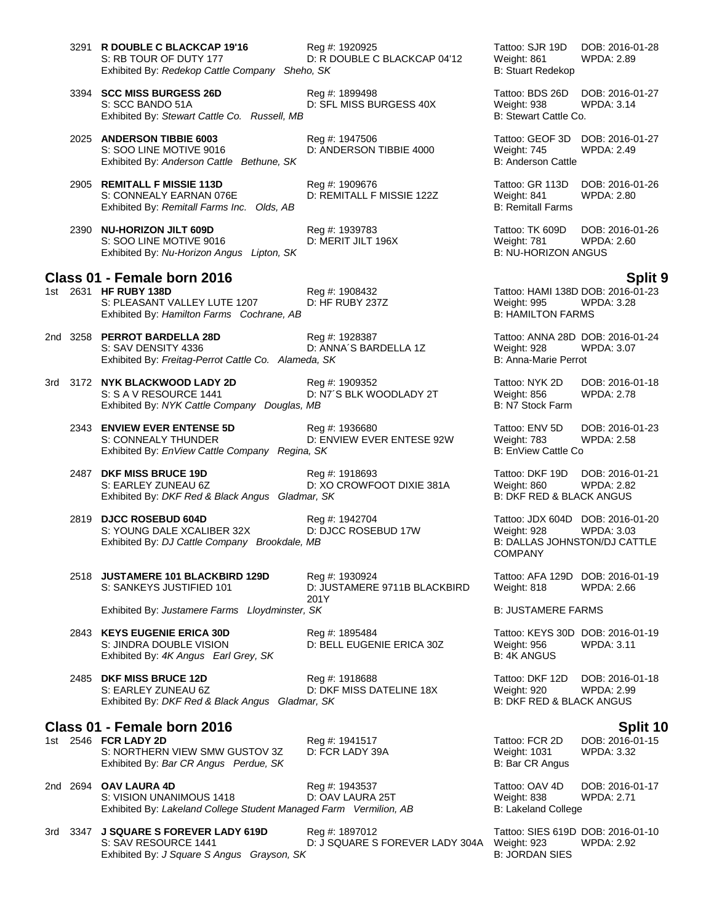3291 **R DOUBLE C BLACKCAP 19'16** Reg #: 1920925 Tattoo: SJR 19D DOB: 2016-01-28<br>S: RB TOUR OF DUTY 177 D: R DOUBLE C BLACKCAP 04'12 Weight: 861 WPDA: 2.89

S: SCC BANDO 51A D: SFL MISS BURGESS 40X Weight: 938 WPDA: 3.14 Exhibited By: Stewart Cattle Co. Russell, MB B: Stewart Cattle Co.

2025 **ANDERSON TIBBIE 6003** Reg #: 1947506 Tattoo: GEOF 3D DOB: 2016-01-27 S: SOO LINE MOTIVE 9016 D: ANDERSON TIBBIE 4000 Weight: 745 WPDA: 2.49 Exhibited By: *Anderson Cattle Bethune, SK* B: Anderson Cattle Bethune, SK

- 2905 **REMITALL F MISSIE 113D** Reg #: 1909676 Tattoo: GR 113D DOB: 2016-01-26 S: CONNEALY EARNAN 076E **D: REMITALL F MISSIE 122Z** Weight: 841 WPDA: 2.80<br>Exhibited By: Remitall Farms Inc. Olds, AB B: Remitall Farms B: Remitall Farms Exhibited By: Remitall Farms Inc. Olds, AB
- 2390 **NU-HORIZON JILT 609D** Reg #: 1939783 Tattoo: TK 609D DOB: 2016-01-26 S: SOO LINE MOTIVE 9016 D: MERIT JILT 196X Weight: 781 WPDA: 2.600 LINE MOTIVE 9016 D: MERIT JILT 196X<br>Exhibited By: Nu-Horizon Angus Lipton. SK B: NU-HORIZON ANGUS Exhibited By: Nu-Horizon Angus Lipton, SK

# **Class 01 - Female born 2016 Split 9**

- S: PLEASANT VALLEY LUTE 1207 Exhibited By: *Hamilton Farms Cochrane, AB* B: HAMILTON FARMS
- 2nd 3258 **PERROT BARDELLA 28D** Reg #: 1928387 Tattoo: ANNA 28D DOB: 2016-01-24 S: SAV DENSITY 4336 D: ANNA'S BARDELLA 1Z Weight: 928 WPDA: 3.07 Exhibited By: *Freitag-Perrot Cattle Co. Alameda, SK* B: Anna-Marie Perrot
- 3rd 3172 **NYK BLACKWOOD LADY 2D** Reg #: 1909352 Tattoo: NYK 2D DOB: 2016-01-18 S: S A V RESOURCE 1441 D: N7´S BLK WOODLADY 2T Weight: 856 WPDA: 2.78 Exhibited By: *NYK Cattle Company Douglas, MB* B: N7 Stock Farm B: N7 Stock Farm
	- 2343 **ENVIEW EVER ENTENSE 5D** Reg #: 1936680 Tattoo: ENV 5D DOB: 2016-01-23 S: CONNEALY THUNDER **D: ENVIEW EVER ENTESE 92W** Weight: 783 WPDA: 2.58<br>Exhibited By: EnView Cattle Company Regina, SK B: EnView Cattle Co Exhibited By: *EnView Cattle Company Regina, SK*
	- 2487 **DKF MISS BRUCE 19D** Reg #: 1918693 Tattoo: DKF 19D DOB: 2016-01-21 S: EARLEY ZUNEAU 6Z D: XO CROWFOOT DIXIE 381A Weight: 860 WPDA: 2.82 Exhibited By: DKF Red & Black Angus Gladmar, SK
	- 2819 **DJCC ROSEBUD 604D** Reg #: 1942704 Tattoo: JDX 604D DOB: 2016-01-20 S: YOUNG DALE XCALIBER 32X D: DJCC ROSEBUD 17W Weight: 928 WPDA: 3.03<br>
	Exhibited By: DJ Cattle Company Brookdale. MB B: DALLAS JOHNSTON/DJ CATTLE Exhibited By: *DJ Cattle Company Brookdale, MB*
	- S: SANKEYS JUSTIFIED 101 D: JUSTAMERE 9711B BLACKBIRD

2518 **JUSTAMERE 101 BLACKBIRD 129D** Reg #: 1930924 Tattoo: AFA 129D DOB: 2016-01-19 201Y

2843 **KEYS EUGENIE ERICA 30D** Reg #: 1895484 Tattoo: KEYS 30D DOB: 2016-01-19 S: JINDRA DOUBLE VISION D: BELL EUGENIE ERICA 30Z Weight: 956 WPDA: 3.11<br>
Exhibited By: 4K Angus Earl Grey, SK B: 4K ANGUS Exhibited By: 4K Angus Earl Grey, SK

2485 **DKF MISS BRUCE 12D** Reg #: 1918688 Tattoo: DKF 12D DOB: 2016-01-18 S: EARLEY ZUNEAU 6Z D: DKF MISS DATELINE 18X Weight: 920 WPDA: 2.99 Exhibited By: *DKF Red & Black Angus Gladmar, SK* B: DKF RED & BLACK ANGUS

**Class 01 - Female born 2016 Split 10** 1st 2546 **FCR LADY 2D** Reg #: 1941517 Tattoo: FCR 2D DOB: 2016-0<br>S: NORTHERN VIEW SMW GUSTOV 3Z D: FCR LADY 39A Weight: 1031 WPDA: 3.32 S: NORTHERN VIEW SMW GUSTOV 3Z D: FCR LADY 39A Weight: 1031 Weight: 1031<br>Exhibited By: *Bar CR Angus Perdue, SK* D: FCR ANGUS B: Bar CR Angus Exhibited By: Bar CR Angus Perdue, SK

2nd 2694 **OAV LAURA 4D** Reg #: 1943537 Tattoo: OAV 4D DOB: 2016-01-17 S: VISION UNANIMOUS 1418 D: OAV LAURA 25T Weight: 838 WPDA: 2.71 Exhibited By: *Lakeland College Student Managed Farm Vermilion, AB* B: Lakeland College

3rd 3347 **J SQUARE S FOREVER LADY 619D** Reg #: 1897012 Tattoo: SIES 619D DOB: 2016-01-10 S: SAV RESOURCE 1441 D: J SQUARE S FOREVER LADY 304A Weight: 923 WPDA: 2.92 Exhibited By: *J Square S Angus Grayson, SK* B: JORDAN SIES

D: R DOUBLE C BLACKCAP 04'12 Weight: 861 Exhibited By: *Redekop Cattle Company Sheho, SK* B: Stuart Redekop

3394 **SCC MISS BURGESS 26D** Reg #: 1899498 Tattoo: BDS 26D DOB: 2016-01-27

1st 2631 **Hereaft 2631 2016-01-23**<br>1st 2631 2342 Tattoo: HAMI 138D DOB: 2016-01-23<br>1st 2016 Weight: 995 WPDA: 3.28

COMPANY

Weight: 818 WPDA: 2.66

Exhibited By: Justamere Farms Lloydminster, SK B: JUSTAMERE FARMS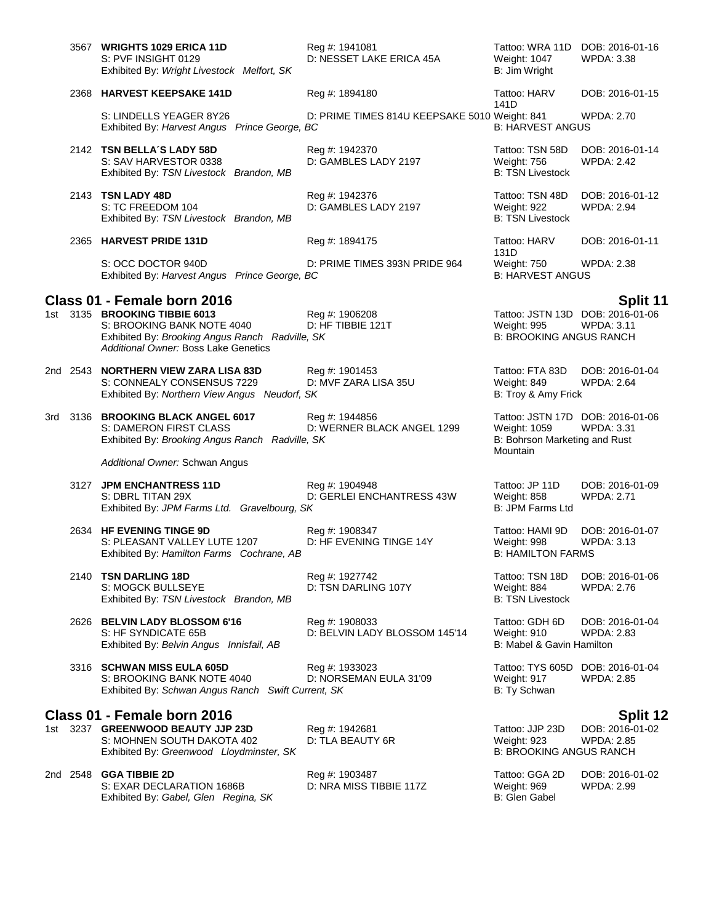|          | 3567 WRIGHTS 1029 ERICA 11D<br>S: PVF INSIGHT 0129<br>Exhibited By: Wright Livestock Melfort, SK                                                                                      | Reg #: 1941081<br>D: NESSET LAKE ERICA 45A      | Tattoo: WRA 11D DOB: 2016-01-16<br>Weight: 1047<br>B: Jim Wright                              | <b>WPDA: 3.38</b>                    |
|----------|---------------------------------------------------------------------------------------------------------------------------------------------------------------------------------------|-------------------------------------------------|-----------------------------------------------------------------------------------------------|--------------------------------------|
|          | 2368 HARVEST KEEPSAKE 141D                                                                                                                                                            | Reg #: 1894180                                  | Tattoo: HARV                                                                                  | DOB: 2016-01-15                      |
|          | S: LINDELLS YEAGER 8Y26<br>Exhibited By: Harvest Angus Prince George, BC                                                                                                              | D: PRIME TIMES 814U KEEPSAKE 5010 Weight: 841   | 141D<br><b>B: HARVEST ANGUS</b>                                                               | <b>WPDA: 2.70</b>                    |
|          | 2142 TSN BELLA'S LADY 58D<br>S: SAV HARVESTOR 0338<br>Exhibited By: TSN Livestock Brandon, MB                                                                                         | Reg #: 1942370<br>D: GAMBLES LADY 2197          | Tattoo: TSN 58D<br>Weight: 756<br><b>B: TSN Livestock</b>                                     | DOB: 2016-01-14<br><b>WPDA: 2.42</b> |
|          | 2143 TSN LADY 48D<br>S: TC FREEDOM 104<br>Exhibited By: TSN Livestock Brandon, MB                                                                                                     | Reg #: 1942376<br>D: GAMBLES LADY 2197          | Tattoo: TSN 48D<br>Weight: 922<br><b>B: TSN Livestock</b>                                     | DOB: 2016-01-12<br><b>WPDA: 2.94</b> |
|          | 2365 HARVEST PRIDE 131D                                                                                                                                                               | Reg #: 1894175                                  | Tattoo: HARV<br>131D                                                                          | DOB: 2016-01-11                      |
|          | S: OCC DOCTOR 940D<br>Exhibited By: Harvest Angus Prince George, BC                                                                                                                   | D: PRIME TIMES 393N PRIDE 964                   | Weight: 750<br><b>B: HARVEST ANGUS</b>                                                        | <b>WPDA: 2.38</b>                    |
|          | Class 01 - Female born 2016<br>1st 3135 BROOKING TIBBIE 6013<br>S: BROOKING BANK NOTE 4040<br>Exhibited By: Brooking Angus Ranch Radville, SK<br>Additional Owner: Boss Lake Genetics | Reg #: 1906208<br>D: HF TIBBIE 121T             | Tattoo: JSTN 13D DOB: 2016-01-06<br>Weight: 995<br><b>B: BROOKING ANGUS RANCH</b>             | Split 11<br><b>WPDA: 3.11</b>        |
| 2nd 2543 | <b>NORTHERN VIEW ZARA LISA 83D</b><br>S: CONNEALY CONSENSUS 7229<br>Exhibited By: Northern View Angus Neudorf, SK                                                                     | Reg #: 1901453<br>D: MVF ZARA LISA 35U          | Tattoo: FTA 83D<br>Weight: 849<br>B: Troy & Amy Frick                                         | DOB: 2016-01-04<br><b>WPDA: 2.64</b> |
|          | 3rd 3136 BROOKING BLACK ANGEL 6017<br>S: DAMERON FIRST CLASS<br>Exhibited By: Brooking Angus Ranch Radville, SK                                                                       | Reg #: 1944856<br>D: WERNER BLACK ANGEL 1299    | Tattoo: JSTN 17D DOB: 2016-01-06<br>Weight: 1059<br>B: Bohrson Marketing and Rust<br>Mountain | <b>WPDA: 3.31</b>                    |
|          | Additional Owner: Schwan Angus                                                                                                                                                        |                                                 |                                                                                               |                                      |
| 3127     | <b>JPM ENCHANTRESS 11D</b><br>S: DBRL TITAN 29X<br>Exhibited By: JPM Farms Ltd. Gravelbourg, SK                                                                                       | Reg #: 1904948<br>D: GERLEI ENCHANTRESS 43W     | Tattoo: JP 11D<br>Weight: 858<br>B: JPM Farms Ltd                                             | DOB: 2016-01-09<br><b>WPDA: 2.71</b> |
|          | 2634 HF EVENING TINGE 9D<br>S: PLEASANT VALLEY LUTE 1207<br>Exhibited By: Hamilton Farms Cochrane, AB                                                                                 | Reg #: 1908347<br>D: HF EVENING TINGE 14Y       | Tattoo: HAMI 9D<br>Weight: 998<br><b>B: HAMILTON FARMS</b>                                    | DOB: 2016-01-07<br>WPDA: 3.13        |
|          | 2140 TSN DARLING 18D<br>S: MOGCK BULLSEYE<br>Exhibited By: TSN Livestock Brandon, MB                                                                                                  | Reg #: 1927742<br>D: TSN DARLING 107Y           | Tattoo: TSN 18D<br>Weight: 884<br><b>B: TSN Livestock</b>                                     | DOB: 2016-01-06<br><b>WPDA: 2.76</b> |
|          | 2626 BELVIN LADY BLOSSOM 6'16<br>S: HF SYNDICATE 65B<br>Exhibited By: Belvin Angus Innisfail, AB                                                                                      | Reg #: 1908033<br>D: BELVIN LADY BLOSSOM 145'14 | Tattoo: GDH 6D<br>Weight: 910<br>B: Mabel & Gavin Hamilton                                    | DOB: 2016-01-04<br><b>WPDA: 2.83</b> |
|          | 3316 SCHWAN MISS EULA 605D<br>S: BROOKING BANK NOTE 4040<br>Exhibited By: Schwan Angus Ranch Swift Current, SK                                                                        | Reg #: 1933023<br>D: NORSEMAN EULA 31'09        | Tattoo: TYS 605D DOB: 2016-01-04<br>Weight: 917<br>B: Ty Schwan                               | <b>WPDA: 2.85</b>                    |
|          | Class 01 - Female born 2016                                                                                                                                                           |                                                 |                                                                                               | <b>Split 12</b>                      |
|          | 1st 3237 GREENWOOD BEAUTY JJP 23D<br>S: MOHNEN SOUTH DAKOTA 402<br>Exhibited By: Greenwood Lloydminster, SK                                                                           | Reg #: 1942681<br>D: TLA BEAUTY 6R              | Tattoo: JJP 23D<br>Weight: 923<br><b>B: BROOKING ANGUS RANCH</b>                              | DOB: 2016-01-02<br><b>WPDA: 2.85</b> |
| 2nd 2548 | <b>GGA TIBBIE 2D</b><br>S: EXAR DECLARATION 1686B<br>Exhibited By: Gabel, Glen Regina, SK                                                                                             | Reg #: 1903487<br>D: NRA MISS TIBBIE 117Z       | Tattoo: GGA 2D<br>Weight: 969<br>B: Glen Gabel                                                | DOB: 2016-01-02<br><b>WPDA: 2.99</b> |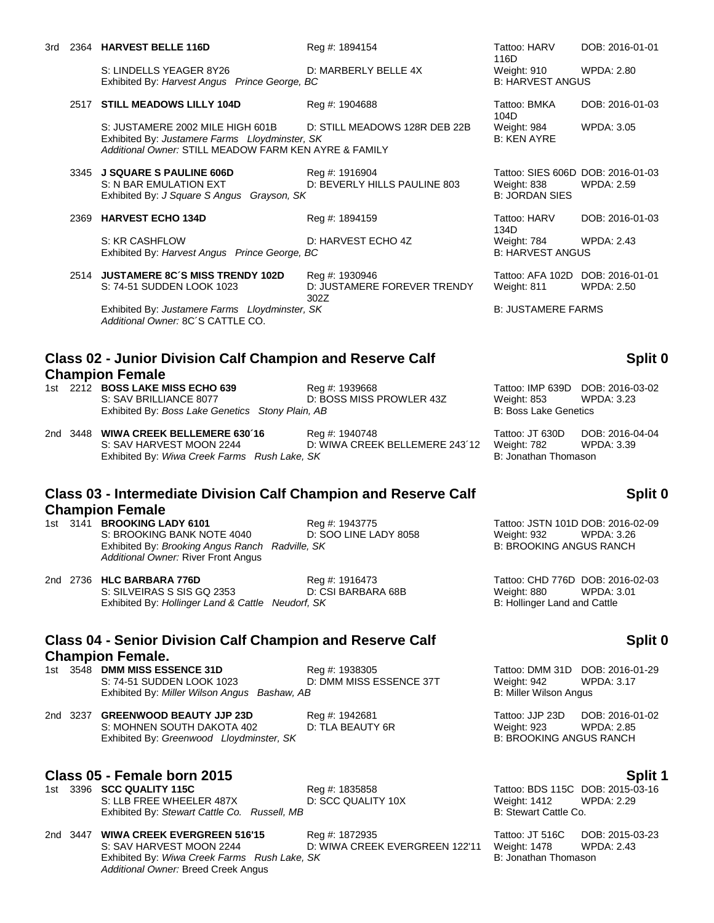S: LINDELLS YEAGER 8Y26 D: MARBERLY BELLE 4X Weight: 910 WPDA: 2.80<br>
Exhibited By: Harvest Angus Prince George. BC B: HARVEST ANGUS Exhibited By: Harvest Angus Prince George, BC

### 2517 **STILL MEADOWS LILLY 104D** Reg #: 1904688 Tattoo: BMKA

S: JUSTAMERE 2002 MILE HIGH 601B D: STILL MEADOWS 128R DEB 22B Weight: 984 WPDA: 3.05 Exhibited By: *Justamere Farms Lloydminster, SK* B: KEN AYRE *Additional Owner:* STILL MEADOW FARM KEN AYRE & FAMILY

3345 **J SQUARE S PAULINE 606D** Reg #: 1916904 Tattoo: SIES 606D DOB: 2016-01-03 S: N BAR EMULATION EXT **D: BEVERLY HILLS PAULINE 803** Weight: 838 WPDA: 2.59 Exhibited By: *J Square S Angus Grayson, SK* B: JORDAN SIES

# 2369 **HARVEST ECHO 134D** Reg #: 1894159 Tattoo: HARV S: KR CASHFLOW **D: HARVEST ECHO 4Z** Weight: 784 WPDA: 2.43<br>
Exhibited By: *Harvest Angus Prince George, BC* B: HARVEST ANGUS

Exhibited By: *Harvest Angus Prince George, BC* 

2514 **JUSTAMERE 8C´S MISS TRENDY 102D** Reg #: 1930946 Tattoo: AFA 102D DOB: 2016-01-01 D: JUSTAMERE FOREVER TRENDY 302Z Exhibited By: Justamere Farms Lloydminster, SK B: JUSTAMERE FARMS *Additional Owner:* 8C´S CATTLE CO.

## **Class 02 - Junior Division Calf Champion and Reserve Calf Champion Female**

1st 2212 **BOSS LAKE MISS ECHO 639** Reg #: 1939668 Tattoo: IMP 639D DOB: 2016-03-02 Exhibited By: Boss Lake Genetics Stony Plain, AB

S: SAV BRILLIANCE 8077 D: BOSS MISS PROWLER 43Z Weight: 853 WPDA: 3.23<br>Exhibited By: Boss Lake Genetics Stony Plain, AB B: Boss Lake Genetics B: Boss Lake Genetics

2nd 3448 **WIWA CREEK BELLEMERE 630´16** Reg #: 1940748 Tattoo: JT 630D DOB: 2016-04-04 D: WIWA CREEK BELLEMERE 243´12 Weight: 782 WP<br>SK B: Jonathan Thomason Exhibited By: Wiwa Creek Farms Rush Lake, SK

# **Class 03 - Intermediate Division Calf Champion and Reserve Calf Champion Female**<br>1st 3141 BROOKING LADY 6101

## S: BROOKING BANK NOTE 4040 D: SOO LINE LADY 8058 Weight: 932 WPDA: 3.26 Exhibited By: *Brooking Angus Ranch Radville, SK* B: BROOKING ANGUS RANCH *Additional Owner:* River Front Angus

2nd 2736 **HLC BARBARA 776D Reg #: 1916473** Reg **#: 1916473** Tattoo: CHD 776D DOB: 2016-02-03<br>S: SILVEIRAS S SIS GQ 2353 D: CSI BARBARA 68B Weight: 880 WPDA: 3.01 S: SILVEIRAS S SIS GQ 2353 D: CSI BARBARA 68B Weight: 880 WPDA: 3.000 WPDA: 3.000 WPDA: 3.000 WPDA: 3.000 WPDA<br>Exhibited By: Hollinger Land & Cattle Neudorf, SK Exhibited By: *Hollinger Land & Cattle Neudorf, SK* 

### **Class 04 - Senior Division Calf Champion and Reserve Calf Champion Female.**

1st 3548 **DMM MISS ESSENCE 31D** Reg #: 1938305 Tattoo: DMM 31D DOB: 2016-01-29<br>S: 74-51 SUDDEN LOOK 1023 D: DMM MISS ESSENCE 37T Weight: 942 WPDA: 3.17 S: 74-51 SUDDEN LOOK 1023 D: DMM MISS ESSENCE 37T Weight: 942 WF<br>Exhibited By: Miller Wilson Angus Bashaw, AB B: Miller Wilson Angus Exhibited By: Miller Wilson Angus Bashaw, AB

2nd 3237 **GREENWOOD BEAUTY JJP 23D** Reg #: 1942681 Tattoo: JJP 23D DOB: 2016-01-02 S: MOHNEN SOUTH DAKOTA 402 D: TLA BEAUTY 6R Weight: 923 WPDA: 2.85 Exhibited By: *Greenwood Lloydminster, SK* B: BROOKING ANGUS RANCH

**Class 05 - Female born 2015**<br>1st 3396 SCC QUALITY 115C **Split 1** Reg #: 1835858 Tattoo: BDS 115C DOB: 2015-03-16 S: LLB FREE WHEELER 487X Exhibited By: *Stewart Cattle Co. Russell, MB* B: Stewart Cattle Co. **Russell**, MB

2nd 3447 **WIWA CREEK EVERGREEN 516'15** Reg #: 1872935 Tattoo: JT 516C DOB: 2015-03-23 Exhibited By: *Wiwa Creek Farms Rush Lake, SK* B: Jonathan Thomason *Additional Owner:* Breed Creek Angus

D: WIWA CREEK EVERGREEN 122'11

116D<br>Weight: 910 DOB: 2016-01-01

104D DOB: 2016-01-03

134D<br>Weight: 784 DOB: 2016-01-03

WPDA: 2.50

## **Split 0**

# **Split 0**

Reg #: 1943775 Tattoo: JSTN 101D DOB: 2016-02-09

# **Split 0**

1st 335858 **SCC QUALITY 10X** Tattoo: BDS 115C DOB: 2015-03-16<br>
D: SCC QUALITY 10X Weight: 1412 WPDA: 2.29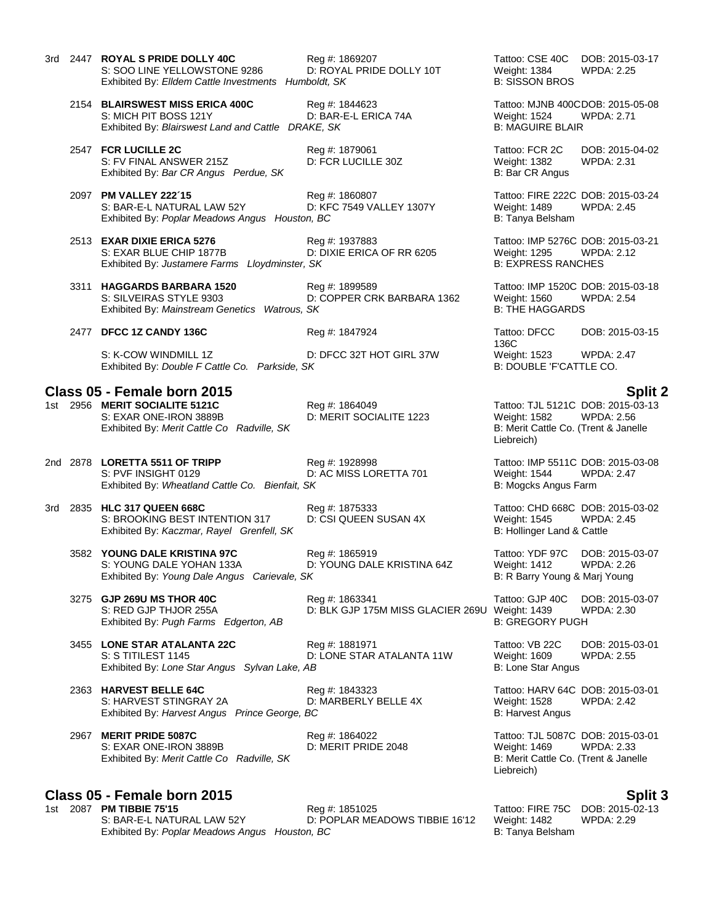|  | 3rd 2447 ROYAL S PRIDE DOLLY 40C<br>S: SOO LINE YELLOWSTONE 9286<br>Exhibited By: Elldem Cattle Investments Humboldt, SK | Reg #: 1869207<br>D: ROYAL PRIDE DOLLY 10T                       | Tattoo: CSE 40C<br><b>Weight: 1384</b><br><b>B: SISSON BROS</b>                                                | DOB: 2015-03-17<br><b>WPDA: 2.25</b> |
|--|--------------------------------------------------------------------------------------------------------------------------|------------------------------------------------------------------|----------------------------------------------------------------------------------------------------------------|--------------------------------------|
|  | 2154 BLAIRSWEST MISS ERICA 400C<br>S: MICH PIT BOSS 121Y<br>Exhibited By: Blairswest Land and Cattle DRAKE, SK           | Reg #: 1844623<br>D: BAR-E-L ERICA 74A                           | Tattoo: MJNB 400CDOB: 2015-05-08<br><b>Weight: 1524</b><br><b>B: MAGUIRE BLAIR</b>                             | <b>WPDA: 2.71</b>                    |
|  | 2547 FCR LUCILLE 2C<br>S: FV FINAL ANSWER 215Z<br>Exhibited By: Bar CR Angus Perdue, SK                                  | Reg #: 1879061<br>D: FCR LUCILLE 30Z                             | Tattoo: FCR 2C<br>Weight: 1382<br>B: Bar CR Angus                                                              | DOB: 2015-04-02<br><b>WPDA: 2.31</b> |
|  | 2097 PM VALLEY 222'15<br>S: BAR-E-L NATURAL LAW 52Y<br>Exhibited By: Poplar Meadows Angus Houston, BC                    | Reg #: 1860807<br>D: KFC 7549 VALLEY 1307Y                       | Tattoo: FIRE 222C DOB: 2015-03-24<br>Weight: 1489<br>B: Tanya Belsham                                          | <b>WPDA: 2.45</b>                    |
|  | 2513 EXAR DIXIE ERICA 5276<br>S: EXAR BLUE CHIP 1877B<br>Exhibited By: Justamere Farms Lloydminster, SK                  | Reg #: 1937883<br>D: DIXIE ERICA OF RR 6205                      | Tattoo: IMP 5276C DOB: 2015-03-21<br>Weight: 1295<br><b>B: EXPRESS RANCHES</b>                                 | WPDA: 2.12                           |
|  | 3311 HAGGARDS BARBARA 1520<br>S: SILVEIRAS STYLE 9303<br>Exhibited By: Mainstream Genetics Watrous, SK                   | Reg #: 1899589<br>D: COPPER CRK BARBARA 1362                     | Tattoo: IMP 1520C DOB: 2015-03-18<br>Weight: 1560<br><b>B: THE HAGGARDS</b>                                    | <b>WPDA: 2.54</b>                    |
|  | 2477 DFCC 1Z CANDY 136C                                                                                                  | Reg #: 1847924                                                   | Tattoo: DFCC<br>136C                                                                                           | DOB: 2015-03-15                      |
|  | S: K-COW WINDMILL 1Z<br>Exhibited By: Double F Cattle Co. Parkside, SK                                                   | D: DFCC 32T HOT GIRL 37W                                         | Weight: 1523<br>B: DOUBLE 'F'CATTLE CO.                                                                        | <b>WPDA: 2.47</b>                    |
|  | Class 05 - Female born 2015                                                                                              |                                                                  |                                                                                                                | <b>Split 2</b>                       |
|  | 1st 2956 MERIT SOCIALITE 5121C<br>S: EXAR ONE-IRON 3889B<br>Exhibited By: Merit Cattle Co Radville, SK                   | Reg #: 1864049<br>D: MERIT SOCIALITE 1223                        | Tattoo: TJL 5121C DOB: 2015-03-13<br><b>Weight: 1582</b><br>B: Merit Cattle Co. (Trent & Janelle<br>Liebreich) | <b>WPDA: 2.56</b>                    |
|  | 2nd 2878 LORETTA 5511 OF TRIPP<br>S: PVF INSIGHT 0129<br>Exhibited By: Wheatland Cattle Co. Bienfait, SK                 | Reg #: 1928998<br>D: AC MISS LORETTA 701                         | Tattoo: IMP 5511C DOB: 2015-03-08<br>Weight: 1544<br>B: Mogcks Angus Farm                                      | <b>WPDA: 2.47</b>                    |
|  | 3rd 2835 HLC 317 QUEEN 668C<br>S: BROOKING BEST INTENTION 317<br>Exhibited By: Kaczmar, Rayel Grenfell, SK               | Reg #: 1875333<br>D: CSI QUEEN SUSAN 4X                          | Tattoo: CHD 668C DOB: 2015-03-02<br>Weight: 1545<br>B: Hollinger Land & Cattle                                 | <b>WPDA: 2.45</b>                    |
|  | 3582 YOUNG DALE KRISTINA 97C<br>S: YOUNG DALE YOHAN 133A<br>Exhibited By: Young Dale Angus Carievale, SK                 | Reg #: 1865919<br>D: YOUNG DALE KRISTINA 64Z                     | Tattoo: YDF 97C<br><b>Weight: 1412</b><br>B: R Barry Young & Marj Young                                        | DOB: 2015-03-07<br><b>WPDA: 2.26</b> |
|  | 3275 GJP 269U MS THOR 40C<br>S: RED GJP THJOR 255A<br>Exhibited By: Pugh Farms Edgerton, AB                              | Reg #: 1863341<br>D: BLK GJP 175M MISS GLACIER 269U Weight: 1439 | Tattoo: GJP 40C<br><b>B: GREGORY PUGH</b>                                                                      | DOB: 2015-03-07<br><b>WPDA: 2.30</b> |
|  | 3455 LONE STAR ATALANTA 22C<br>S: S TITILEST 1145<br>Exhibited By: Lone Star Angus Sylvan Lake, AB                       | Reg #: 1881971<br>D: LONE STAR ATALANTA 11W                      | Tattoo: VB 22C<br>Weight: 1609<br>B: Lone Star Angus                                                           | DOB: 2015-03-01<br><b>WPDA: 2.55</b> |
|  | 2363 HARVEST BELLE 64C<br>S: HARVEST STINGRAY 2A<br>Exhibited By: Harvest Angus Prince George, BC                        | Reg #: 1843323<br>D: MARBERLY BELLE 4X                           | Tattoo: HARV 64C DOB: 2015-03-01<br>Weight: 1528<br><b>B: Harvest Angus</b>                                    | <b>WPDA: 2.42</b>                    |
|  | 2967 MERIT PRIDE 5087C<br>S: EXAR ONE-IRON 3889B<br>Exhibited By: Merit Cattle Co Radville, SK                           | Reg #: 1864022<br>D: MERIT PRIDE 2048                            | Tattoo: TJL 5087C DOB: 2015-03-01<br>Weight: 1469<br>B: Merit Cattle Co. (Trent & Janelle<br>Liebreich)        | <b>WPDA: 2.33</b>                    |

# **Class 05 - Female born 2015 Split 3**

**PM TIBBIE 75'15**<br>1st 2015-02-13<br>1s: BAR-E-L NATURAL LAW 52Y D: POPLAR MEADOWS TIBBIE 16'12 Weight: 1482 WPDA: 2.29 Exhibited By: Poplar Meadows Angus Houston, BC

D: POPLAR MEADOWS TIBBIE 16'12 Weight: 1482<br>
ID: Tanya Belsham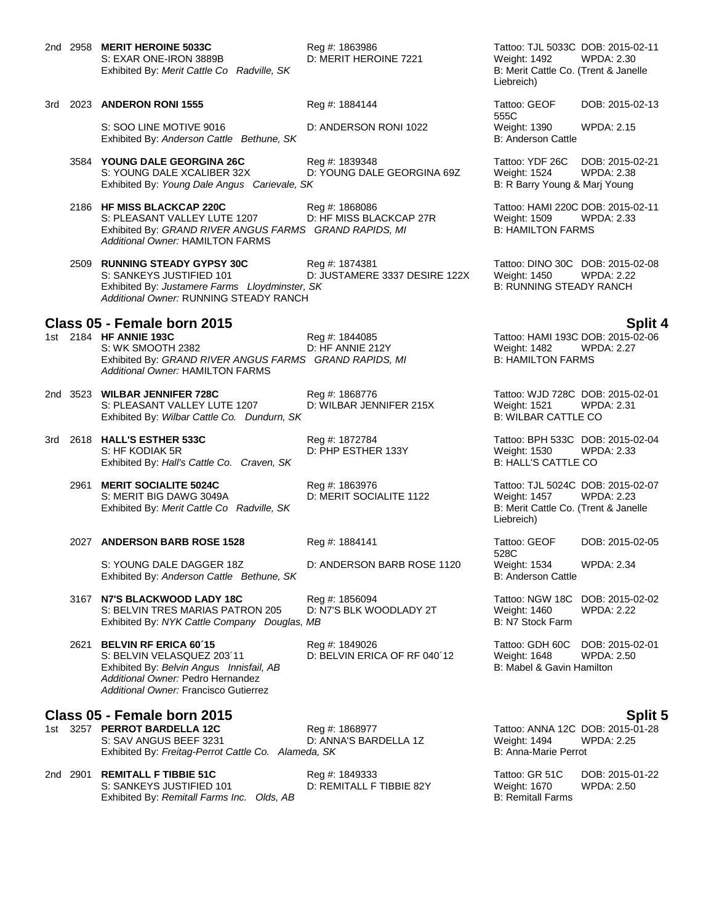2nd 2958 **MERIT HEROINE 5033C** Reg #: 1863986 Tattoo: TJL 5033C DOB: 2015-02-11 S: EXAR ONE-IRON 3889B D: MERIT HEROINE 7221 Weight: 1492 WPDA: 2.30<br>Exhibited By: Merit Cattle Co Radville, SK B: Merit Cattle Co. (Trent & Janelle Exhibited By: Merit Cattle Co Radville, SK

3rd 2023 **ANDERON RONI 1555** Reg #: 1884144 Tattoo: GEOF S: SOO LINE MOTIVE 9016 D: ANDERSON RONI 1022 Weight: 1390 WPDA: 2.15

3584 **YOUNG DALE GEORGINA 26C** Reg #: 1839348 Tattoo: YDF 26C DOB: 2015-02-21

S: YOUNG DALE XCALIBER 32X D: YOUNG DALE GEORGINA 69Z Weight: 1524 WPDA: 2.38 Exhibited By: *Young Dale Angus Carievale, SK* B: R Barry Young & Marj Young B: R Barry Young & Marj Young

2186 **HF MISS BLACKCAP 220C** Reg #: 1868086 Tattoo: HAMI 220C DOB: 2015-02-11 S: PLEASANT VALLEY LUTE 1207 D: HF MISS BLACKCAP 27R Weight: 1509 WPDA: 2.33<br>
Exhibited By: GRAND RIVER ANGUS FARMS GRAND RAPIDS, MI B: HAMILTON FARMS Exhibited By: GRAND RIVER ANGUS FARMS GRAND RAPIDS, MI *Additional Owner:* HAMILTON FARMS

2509 **RUNNING STEADY GYPSY 30C** Reg #: 1874381 Tattoo: DINO 30C DOB: 2015-02-08 D: JUSTAMERE 3337 DESIRE 122X Weight: 1450 WPDA: 2.22<br>SK B: RUNNING STEADY RANCH Exhibited By: *Justamere Farms Lloydminster, SK Additional Owner:* RUNNING STEADY RANCH

**Class 05 - Female born 2015 Split 4** S: WK SMOOTH 2382 D: HF ANNIE 212Y Weight: 1482 WPDA: 2.27 Exhibited By: *GRAND RIVER ANGUS FARMS GRAND RAPIDS, MI* B: HAMILTON FARMS *Additional Owner:* HAMILTON FARMS

2nd 3523 **WILBAR JENNIFER 728C** Reg #: 1868776 Tattoo: WJD 728C DOB: 2015-02-01 S: PLEASANT VALLEY LUTE 1207 D: WILBAR JENNIFER 215X Weight: 1521 WPDA: 2.31<br>Exhibited By: Wilbar Cattle Co. Dundurn, SK B: WILBAR CATTLE CO Exhibited By: Wilbar Cattle Co. Dundurn, SK

3rd 2618 **HALL'S ESTHER 533C** Reg #: 1872784 Tattoo: BPH 533C DOB: 2015-02-04 S: HF KODIAK 5R D: PHP ESTHER 133Y Weight: 1530 WPDA: 2.33 Exhibited By: Hall's Cattle Co. Craven, SK

2961 **MERIT SOCIALITE 5024C** Reg #: 1863976 Tattoo: TJL 5024C DOB: 2015-02-07 Exhibited By: Merit Cattle Co Radville, SK

### 2027 **ANDERSON BARB ROSE 1528** Reg #: 1884141 Tattoo: GEOF

S: YOUNG DALE DAGGER 18Z D: ANDERSON BARB ROSE 1120 Weight: 1534 WPDA: 2.34<br>Exhibited By: Anderson Cattle Bethune. SK B: Anderson Cattle B: Anderson Cattle Exhibited By: Anderson Cattle Bethune, SK

3167 **N7'S BLACKWOOD LADY 18C** Reg #: 1856094 Tattoo: NGW 18C DOB: 2015-02-02<br>S: BELVIN TRES MARIAS PATRON 205 D: N7'S BLK WOODLADY 2T Weight: 1460 WPDA: 2.22 S: BELVIN TRES MARIAS PATRON 205 D: N7'S BLK WOODLADY 2T Weight: 1460<br>Exhibited By: NYK Cattle Company Douglas, MB B: N7 Stock Farm Exhibited By: *NYK Cattle Company Douglas, MB* 

2621 **BELVIN RF ERICA 60´15** Reg #: 1849026 Tattoo: GDH 60C DOB: 2015-02-01 Exhibited By: *Belvin Angus Innisfail, AB* B: Mabel & Gavin Hamilton **B: Mabel & Gavin Hamilton** *Additional Owner:* Pedro Hernandez *Additional Owner:* Francisco Gutierrez

**Class 05 - Female born 2015 Split 5** 1st 3257 **PERROT BARDELLA 12C** Reg #: 1868977 Tattoo: ANNA 12C DOB: 2015-01-28 S: SAV ANGUS BEEF 3231 D: ANNA'S BARDELLA 1Z Weight: 1494 WPDA: 2.25<br>Exhibited By: *Freitag-Perrot Cattle Co. Alameda. SK* B: Anna-Marie Perrot Perrot Exhibited By: Freitag-Perrot Cattle Co. Alameda, SK

2nd 2901 **REMITALL F TIBBIE 51C** Reg #: 1849333 Tattoo: GR 51C DOB: 2015-01-22 Exhibited By: Remitall Farms Inc. Olds. AB

D: BELVIN ERICA OF RF 040´12 Weight: 1648 WPDA: 2.50

Liebreich)

555C DOB: 2015-02-13 Exhibited By: *Anderson Cattle Bethune, SK* B: Anderson Cattle Bethune, SK

1st 2184 **HF ANNIE 193C** Reg #: 1844085 Tattoo: HAMI 193C DOB: 2015-02-06

D: MERIT SOCIALITE 1122 Weight: 1457 WPDA: 2.23<br>B: Merit Cattle Co. (Trent & Janelle Liebreich)

> 528C<br>Weight: 1534 DOB: 2015-02-05

D: REMITALL F TIBBIE 82Y Weight: 1670<br>B: Remitall Farms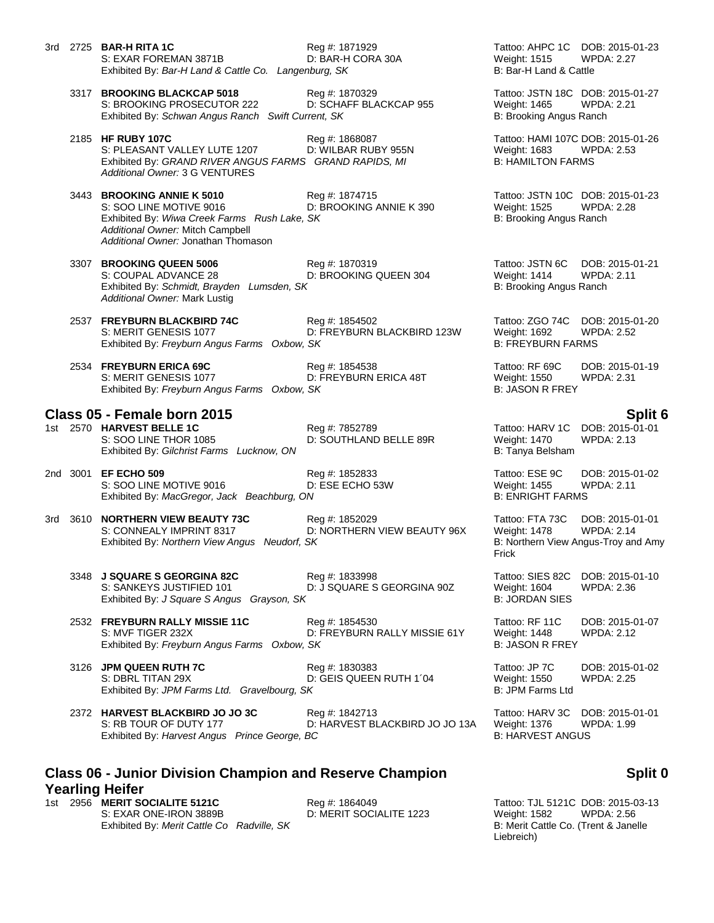|                                                                                                      |  | 3rd 2725 <b>BAR-H RITA 1C</b><br>S: EXAR FOREMAN 3871B<br>Exhibited By: Bar-H Land & Cattle Co. Langenburg, SK                                                                   | Reg #: 1871929<br>D: BAR-H CORA 30A              | Tattoo: AHPC 1C DOB: 2015-01-23<br><b>Weight: 1515</b><br>B: Bar-H Land & Cattle | <b>WPDA: 2.27</b>                                                           |
|------------------------------------------------------------------------------------------------------|--|----------------------------------------------------------------------------------------------------------------------------------------------------------------------------------|--------------------------------------------------|----------------------------------------------------------------------------------|-----------------------------------------------------------------------------|
|                                                                                                      |  | 3317 BROOKING BLACKCAP 5018<br>S: BROOKING PROSECUTOR 222<br>Exhibited By: Schwan Angus Ranch Swift Current, SK                                                                  | Reg #: 1870329<br>D: SCHAFF BLACKCAP 955         | Tattoo: JSTN 18C DOB: 2015-01-27<br>Weight: 1465<br>B: Brooking Angus Ranch      | <b>WPDA: 2.21</b>                                                           |
|                                                                                                      |  | 2185 HF RUBY 107C<br>S: PLEASANT VALLEY LUTE 1207<br>Exhibited By: GRAND RIVER ANGUS FARMS GRAND RAPIDS, MI<br>Additional Owner: 3 G VENTURES                                    | Reg #: 1868087<br>D: WILBAR RUBY 955N            | Tattoo: HAMI 107C DOB: 2015-01-26<br>Weight: 1683<br><b>B: HAMILTON FARMS</b>    | <b>WPDA: 2.53</b>                                                           |
|                                                                                                      |  | 3443 BROOKING ANNIE K 5010<br>S: SOO LINE MOTIVE 9016<br>Exhibited By: Wiwa Creek Farms Rush Lake, SK<br>Additional Owner: Mitch Campbell<br>Additional Owner: Jonathan Thomason | Reg #: 1874715<br>D: BROOKING ANNIE K 390        | Tattoo: JSTN 10C DOB: 2015-01-23<br>Weight: 1525<br>B: Brooking Angus Ranch      | <b>WPDA: 2.28</b>                                                           |
|                                                                                                      |  | 3307 BROOKING QUEEN 5006<br>S: COUPAL ADVANCE 28<br>Exhibited By: Schmidt, Brayden Lumsden, SK<br>Additional Owner: Mark Lustig                                                  | Reg #: 1870319<br>D: BROOKING QUEEN 304          | Tattoo: JSTN 6C<br><b>Weight: 1414</b><br>B: Brooking Angus Ranch                | DOB: 2015-01-21<br><b>WPDA: 2.11</b>                                        |
|                                                                                                      |  | 2537 FREYBURN BLACKBIRD 74C<br>S: MERIT GENESIS 1077<br>Exhibited By: Freyburn Angus Farms Oxbow, SK                                                                             | Reg #: 1854502<br>D: FREYBURN BLACKBIRD 123W     | Tattoo: ZGO 74C<br>Weight: 1692<br><b>B: FREYBURN FARMS</b>                      | DOB: 2015-01-20<br><b>WPDA: 2.52</b>                                        |
|                                                                                                      |  | 2534 FREYBURN ERICA 69C<br>S: MERIT GENESIS 1077<br>Exhibited By: Freyburn Angus Farms Oxbow, SK                                                                                 | Reg #: 1854538<br>D: FREYBURN ERICA 48T          | Tattoo: RF 69C<br>Weight: 1550<br><b>B: JASON R FREY</b>                         | DOB: 2015-01-19<br>WPDA: 2.31                                               |
|                                                                                                      |  | Class 05 - Female born 2015                                                                                                                                                      |                                                  |                                                                                  | Split 6                                                                     |
|                                                                                                      |  | 1st 2570 HARVEST BELLE 1C<br>S: SOO LINE THOR 1085<br>Exhibited By: Gilchrist Farms Lucknow, ON                                                                                  | Reg #: 7852789<br>D: SOUTHLAND BELLE 89R         | Tattoo: HARV 1C<br>Weight: 1470<br>B: Tanya Belsham                              | DOB: 2015-01-01<br><b>WPDA: 2.13</b>                                        |
|                                                                                                      |  | 2nd 3001 EF ECHO 509<br>S: SOO LINE MOTIVE 9016<br>Exhibited By: MacGregor, Jack Beachburg, ON                                                                                   | Reg #: 1852833<br>D: ESE ECHO 53W                | Tattoo: ESE 9C<br>Weight: 1455<br><b>B: ENRIGHT FARMS</b>                        | DOB: 2015-01-02<br><b>WPDA: 2.11</b>                                        |
|                                                                                                      |  | 3rd 3610 NORTHERN VIEW BEAUTY 73C<br>S: CONNEALY IMPRINT 8317<br>Exhibited By: Northern View Angus Neudorf, SK                                                                   | Reg #: 1852029<br>D: NORTHERN VIEW BEAUTY 96X    | Tattoo: FTA 73C<br>Weight: 1478<br>Frick                                         | DOB: 2015-01-01<br><b>WPDA: 2.14</b><br>B: Northern View Angus-Troy and Amy |
|                                                                                                      |  | 3348 J SQUARE S GEORGINA 82C<br>S: SANKEYS JUSTIFIED 101<br>Exhibited By: J Square S Angus Grayson, SK                                                                           | Reg #: 1833998<br>D: J SQUARE S GEORGINA 90Z     | Tattoo: SIES 82C<br><b>Weight: 1604</b><br><b>B: JORDAN SIES</b>                 | DOB: 2015-01-10<br>WPDA: 2.36                                               |
|                                                                                                      |  | 2532 FREYBURN RALLY MISSIE 11C<br>S: MVF TIGER 232X<br>Exhibited By: Freyburn Angus Farms Oxbow, SK                                                                              | Reg #: 1854530<br>D: FREYBURN RALLY MISSIE 61Y   | Tattoo: RF 11C<br><b>Weight: 1448</b><br><b>B: JASON R FREY</b>                  | DOB: 2015-01-07<br><b>WPDA: 2.12</b>                                        |
|                                                                                                      |  | 3126 JPM QUEEN RUTH 7C<br>S: DBRL TITAN 29X<br>Exhibited By: JPM Farms Ltd. Gravelbourg, SK                                                                                      | Reg #: 1830383<br>D: GEIS QUEEN RUTH 1'04        | Tattoo: JP 7C<br>Weight: 1550<br>B: JPM Farms Ltd                                | DOB: 2015-01-02<br>WPDA: 2.25                                               |
|                                                                                                      |  | 2372 HARVEST BLACKBIRD JO JO 3C<br>S: RB TOUR OF DUTY 177<br>Exhibited By: Harvest Angus Prince George, BC                                                                       | Reg #: 1842713<br>D: HARVEST BLACKBIRD JO JO 13A | Tattoo: HARV 3C<br><b>Weight: 1376</b><br><b>B: HARVEST ANGUS</b>                | DOB: 2015-01-01<br>WPDA: 1.99                                               |
| <b>Class 06 - Junior Division Champion and Reserve Champion</b><br>Split 0<br><b>Yearling Heifer</b> |  |                                                                                                                                                                                  |                                                  |                                                                                  |                                                                             |

1st 2956 **MERIT SOCIALITE 5121C** Reg #: 1864049 Reg **Heroman Social Tattoo: TJL 5121C DOB: 2015-03-13**<br>S: EXAR ONE-IRON 3889B D: MERIT SOCIALITE 1223 Weight: 1582 WPDA: 2.56 Exhibited By: Merit Cattle Co Radville, SK

# **Split 0**

D: MERIT SOCIALITE 1223 Weight: 1582 WPDA: 2.56<br>B: Merit Cattle Co. (Trent & Janelle Liebreich)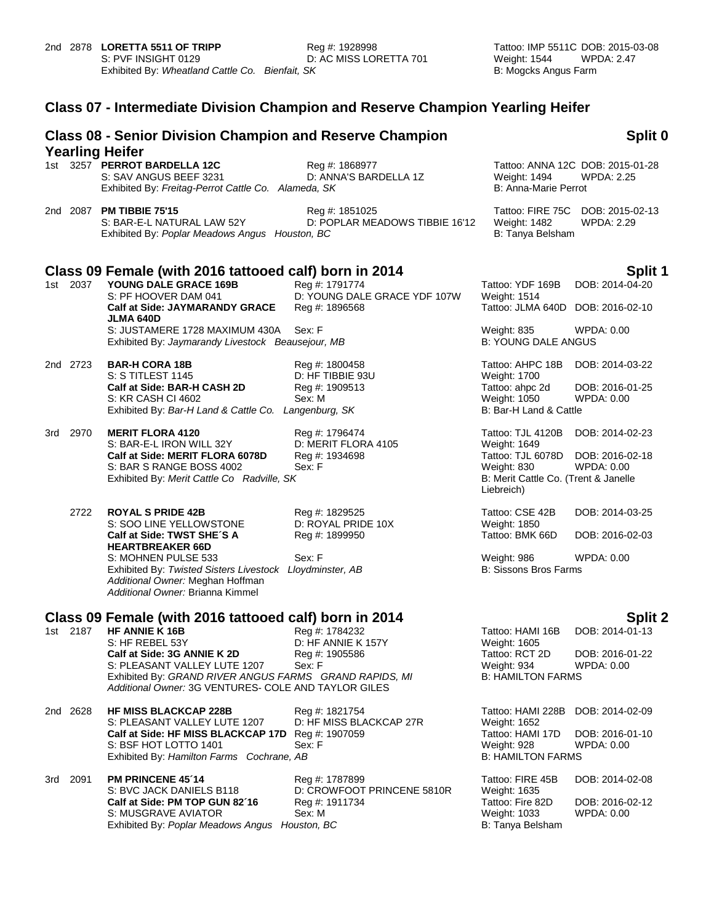# **Class 07 - Intermediate Division Champion and Reserve Champion Yearling Heifer**

|     |          | <b>Class 08 - Senior Division Champion and Reserve Champion</b><br><b>Yearling Heifer</b>                                                                                                                          |                                                                  |                                                                                                      | Split 0                                                 |
|-----|----------|--------------------------------------------------------------------------------------------------------------------------------------------------------------------------------------------------------------------|------------------------------------------------------------------|------------------------------------------------------------------------------------------------------|---------------------------------------------------------|
|     |          | 1st 3257 PERROT BARDELLA 12C<br>S: SAV ANGUS BEEF 3231<br>Exhibited By: Freitag-Perrot Cattle Co. Alameda, SK                                                                                                      | Reg #: 1868977<br>D: ANNA'S BARDELLA 1Z                          | Weight: 1494<br>B: Anna-Marie Perrot                                                                 | Tattoo: ANNA 12C DOB: 2015-01-28<br><b>WPDA: 2.25</b>   |
|     |          | 2nd 2087 PM TIBBIE 75'15<br>S: BAR-E-L NATURAL LAW 52Y<br>Exhibited By: Poplar Meadows Angus Houston, BC                                                                                                           | Reg #: 1851025<br>D: POPLAR MEADOWS TIBBIE 16'12                 | Weight: 1482<br>B: Tanya Belsham                                                                     | Tattoo: FIRE 75C DOB: 2015-02-13<br>WPDA: 2.29          |
|     |          | Class 09 Female (with 2016 tattooed calf) born in 2014                                                                                                                                                             |                                                                  |                                                                                                      | Split 1                                                 |
| 1st | 2037     | YOUNG DALE GRACE 169B<br>S: PF HOOVER DAM 041<br><b>Calf at Side: JAYMARANDY GRACE</b>                                                                                                                             | Reg #: 1791774<br>D: YOUNG DALE GRACE YDF 107W<br>Reg #: 1896568 | Tattoo: YDF 169B<br><b>Weight: 1514</b><br>Tattoo: JLMA 640D DOB: 2016-02-10                         | DOB: 2014-04-20                                         |
|     |          | <b>JLMA 640D</b><br>S: JUSTAMERE 1728 MAXIMUM 430A<br>Exhibited By: Jaymarandy Livestock Beausejour, MB                                                                                                            | Sex: F                                                           | <b>Weight: 835</b><br><b>B: YOUNG DALE ANGUS</b>                                                     | WPDA: 0.00                                              |
|     | 2nd 2723 | <b>BAR-H CORA 18B</b><br>S: S TITLEST 1145                                                                                                                                                                         | Reg #: 1800458<br>D: HF TIBBIE 93U                               | Tattoo: AHPC 18B<br><b>Weight: 1700</b>                                                              | DOB: 2014-03-22                                         |
|     |          | Calf at Side: BAR-H CASH 2D<br>S: KR CASH CI 4602<br>Exhibited By: Bar-H Land & Cattle Co. Langenburg, SK                                                                                                          | Reg #: 1909513<br>Sex: M                                         | Tattoo: ahpc 2d<br>Weight: 1050<br>B: Bar-H Land & Cattle                                            | DOB: 2016-01-25<br>WPDA: 0.00                           |
|     | 3rd 2970 | <b>MERIT FLORA 4120</b><br>S: BAR-E-L IRON WILL 32Y                                                                                                                                                                | Reg #: 1796474<br>D: MERIT FLORA 4105                            | Tattoo: TJL 4120B<br>Weight: 1649                                                                    | DOB: 2014-02-23                                         |
|     |          | Calf at Side: MERIT FLORA 6078D<br>S: BAR S RANGE BOSS 4002<br>Exhibited By: Merit Cattle Co Radville, SK                                                                                                          | Reg #: 1934698<br>Sex: F                                         | Tattoo: TJL 6078D<br>Weight: 830<br>B: Merit Cattle Co. (Trent & Janelle<br>Liebreich)               | DOB: 2016-02-18<br>WPDA: 0.00                           |
|     | 2722     | <b>ROYAL S PRIDE 42B</b><br>S: SOO LINE YELLOWSTONE                                                                                                                                                                | Reg #: 1829525<br>D: ROYAL PRIDE 10X                             | Tattoo: CSE 42B<br>Weight: 1850                                                                      | DOB: 2014-03-25                                         |
|     |          | Calf at Side: TWST SHE'S A<br><b>HEARTBREAKER 66D</b>                                                                                                                                                              | Reg #: 1899950                                                   | Tattoo: BMK 66D                                                                                      | DOB: 2016-02-03                                         |
|     |          | S: MOHNEN PULSE 533<br>Exhibited By: Twisted Sisters Livestock Lloydminster, AB<br>Additional Owner: Meghan Hoffman<br>Additional Owner: Brianna Kimmel                                                            | Sex: F                                                           | Weight: 986<br><b>B: Sissons Bros Farms</b>                                                          | WPDA: 0.00                                              |
|     |          | Class 09 Female (with 2016 tattooed calf) born in 2014                                                                                                                                                             |                                                                  |                                                                                                      | <b>Split 2</b>                                          |
|     | 1st 2187 | HF ANNIE K 16B<br>S: HF REBEL 53Y<br>Calf at Side: 3G ANNIE K 2D<br>S: PLEASANT VALLEY LUTE 1207<br>Exhibited By: GRAND RIVER ANGUS FARMS GRAND RAPIDS, MI<br>Additional Owner: 3G VENTURES- COLE AND TAYLOR GILES | Reg #: 1784232<br>D: HF ANNIE K 157Y<br>Reg #: 1905586<br>Sex: F | Tattoo: HAMI 16B<br><b>Weight: 1605</b><br>Tattoo: RCT 2D<br>Weight: 934<br><b>B: HAMILTON FARMS</b> | DOB: 2014-01-13<br>DOB: 2016-01-22<br><b>WPDA: 0.00</b> |
|     | 2nd 2628 | <b>HF MISS BLACKCAP 228B</b><br>S: PLEASANT VALLEY LUTE 1207                                                                                                                                                       | Reg #: 1821754<br>D: HF MISS BLACKCAP 27R                        | Tattoo: HAMI 228B<br>Weight: 1652                                                                    | DOB: 2014-02-09                                         |
|     |          | Calf at Side: HF MISS BLACKCAP 17D<br>S: BSF HOT LOTTO 1401<br>Exhibited By: Hamilton Farms Cochrane, AB                                                                                                           | Reg #: 1907059<br>Sex: F                                         | Tattoo: HAMI 17D<br>Weight: 928<br><b>B: HAMILTON FARMS</b>                                          | DOB: 2016-01-10<br>WPDA: 0.00                           |
| 3rd | 2091     | PM PRINCENE 45'14<br>S: BVC JACK DANIELS B118                                                                                                                                                                      | Reg #: 1787899<br>D: CROWFOOT PRINCENE 5810R                     | Tattoo: FIRE 45B<br>Weight: 1635                                                                     | DOB: 2014-02-08                                         |
|     |          | Calf at Side: PM TOP GUN 82'16<br>S: MUSGRAVE AVIATOR<br>Exhibited By: Poplar Meadows Angus Houston, BC                                                                                                            | Reg #: 1911734<br>Sex: M                                         | Tattoo: Fire 82D<br>Weight: 1033<br>B: Tanya Belsham                                                 | DOB: 2016-02-12<br>WPDA: 0.00                           |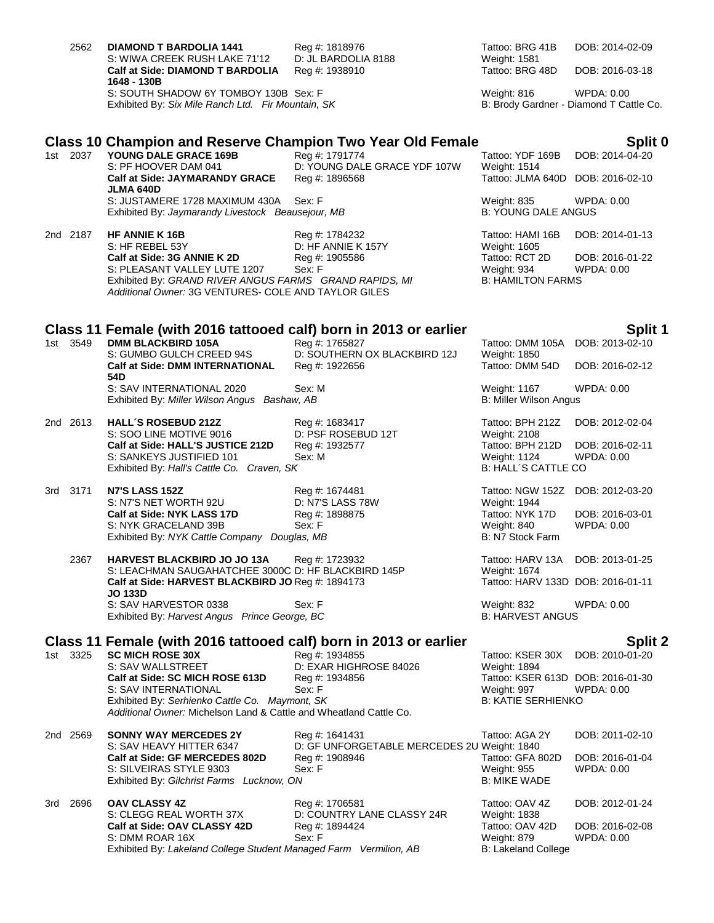| 2562     | <b>DIAMOND T BARDOLIA 1441</b><br>S: WIWA CREEK RUSH LAKE 71'12<br>Calf at Side: DIAMOND T BARDOLIA                                                                                              | Reg #: 1818976<br>D: JL BARDOLIA 8188<br>Reg #: 1938910          | Tattoo: BRG 41B<br>Weight: 1581<br>Tattoo: BRG 48D                            | DOB: 2014-02-09<br>DOB: 2016-03-18                           |
|----------|--------------------------------------------------------------------------------------------------------------------------------------------------------------------------------------------------|------------------------------------------------------------------|-------------------------------------------------------------------------------|--------------------------------------------------------------|
|          | 1648 - 130B<br>S: SOUTH SHADOW 6Y TOMBOY 130B Sex: F<br>Exhibited By: Six Mile Ranch Ltd. Fir Mountain, SK                                                                                       |                                                                  | Weight: 816                                                                   | <b>WPDA: 0.00</b><br>B: Brody Gardner - Diamond T Cattle Co. |
|          | Class 10 Champion and Reserve Champion Two Year Old Female                                                                                                                                       |                                                                  |                                                                               | Split 0                                                      |
| 1st 2037 | YOUNG DALE GRACE 169B<br>S: PF HOOVER DAM 041<br><b>Calf at Side: JAYMARANDY GRACE</b>                                                                                                           | Reg #: 1791774<br>D: YOUNG DALE GRACE YDF 107W<br>Reg #: 1896568 | Tattoo: YDF 169B<br><b>Weight: 1514</b><br>Tattoo: JLMA 640D                  | DOB: 2014-04-20<br>DOB: 2016-02-10                           |
|          | JLMA 640D<br>S: JUSTAMERE 1728 MAXIMUM 430A<br>Exhibited By: Jaymarandy Livestock Beausejour, MB                                                                                                 | Sex: F                                                           | Weight: 835<br><b>B: YOUNG DALE ANGUS</b>                                     | WPDA: 0.00                                                   |
| 2nd 2187 | <b>HF ANNIE K 16B</b>                                                                                                                                                                            | Reg #: 1784232                                                   | Tattoo: HAMI 16B                                                              | DOB: 2014-01-13                                              |
|          | S: HF REBEL 53Y<br>Calf at Side: 3G ANNIE K 2D<br>S: PLEASANT VALLEY LUTE 1207<br>Exhibited By: GRAND RIVER ANGUS FARMS GRAND RAPIDS, MI<br>Additional Owner: 3G VENTURES- COLE AND TAYLOR GILES | D: HF ANNIE K 157Y<br>Reg #: 1905586<br>Sex: F                   | Weight: 1605<br>Tattoo: RCT 2D<br>Weight: 934<br><b>B: HAMILTON FARMS</b>     | DOB: 2016-01-22<br>WPDA: 0.00                                |
|          | Class 11 Female (with 2016 tattooed calf) born in 2013 or earlier                                                                                                                                |                                                                  |                                                                               | Split 1                                                      |
| 1st 3549 | <b>DMM BLACKBIRD 105A</b><br>S: GUMBO GULCH CREED 94S                                                                                                                                            | Reg #: 1765827<br>D: SOUTHERN OX BLACKBIRD 12J                   | Tattoo: DMM 105A<br>Weight: 1850                                              | DOB: 2013-02-10                                              |
|          | <b>Calf at Side: DMM INTERNATIONAL</b><br>54D<br>S: SAV INTERNATIONAL 2020<br>Exhibited By: Miller Wilson Angus Bashaw, AB                                                                       | Reg #: 1922656<br>Sex: M                                         | Tattoo: DMM 54D<br>Weight: 1167<br>B: Miller Wilson Angus                     | DOB: 2016-02-12<br>WPDA: 0.00                                |
| 2nd 2613 | <b>HALL'S ROSEBUD 212Z</b><br>S: SOO LINE MOTIVE 9016                                                                                                                                            | Reg #: 1683417<br>D: PSF ROSEBUD 12T                             | Tattoo: BPH 212Z<br>Weight: 2108                                              | DOB: 2012-02-04                                              |
|          | Calf at Side: HALL'S JUSTICE 212D<br>S: SANKEYS JUSTIFIED 101<br>Exhibited By: Hall's Cattle Co. Craven, SK                                                                                      | Reg #: 1932577<br>Sex: M                                         | Tattoo: BPH 212D<br>Weight: 1124<br><b>B: HALL'S CATTLE CO</b>                | DOB: 2016-02-11<br>WPDA: 0.00                                |
| 3rd 3171 | <b>N7'S LASS 152Z</b><br>S: N7'S NET WORTH 92U                                                                                                                                                   | Reg #: 1674481<br>D: N7'S LASS 78W                               | Tattoo: NGW 152Z<br>Weight: 1944                                              | DOB: 2012-03-20                                              |
|          | Calf at Side: NYK LASS 17D<br>S: NYK GRACELAND 39B<br>Exhibited By: NYK Cattle Company Douglas, MB                                                                                               | Reg #: 1898875<br>Sex: F                                         | Tattoo: NYK 17D<br>Weight: 840<br>B: N7 Stock Farm                            | DOB: 2016-03-01<br><b>WPDA: 0.00</b>                         |
| 2367     | <b>HARVEST BLACKBIRD JO JO 13A</b><br>S: LEACHMAN SAUGAHATCHEE 3000C D: HF BLACKBIRD 145P                                                                                                        | Reg #: 1723932                                                   | Tattoo: HARV 13A<br>Weight: 1674                                              | DOB: 2013-01-25                                              |
|          | Calf at Side: HARVEST BLACKBIRD JO Reg #: 1894173<br><b>JO 133D</b>                                                                                                                              |                                                                  | Tattoo: HARV 133D DOB: 2016-01-11                                             |                                                              |
|          | S: SAV HARVESTOR 0338<br>Exhibited By: Harvest Angus Prince George, BC                                                                                                                           | Sex: F                                                           | Weight: 832<br><b>B: HARVEST ANGUS</b>                                        | WPDA: 0.00                                                   |
|          | Class 11 Female (with 2016 tattooed calf) born in 2013 or earlier                                                                                                                                |                                                                  |                                                                               | <b>Split 2</b>                                               |
| 1st 3325 | <b>SC MICH ROSE 30X</b><br>S: SAV WALLSTREET                                                                                                                                                     | Reg #: 1934855<br>D: EXAR HIGHROSE 84026                         | Tattoo: KSER 30X<br>Weight: 1894                                              | DOB: 2010-01-20                                              |
|          | Calf at Side: SC MICH ROSE 613D<br>S: SAV INTERNATIONAL<br>Exhibited By: Serhienko Cattle Co. Maymont, SK<br>Additional Owner: Michelson Land & Cattle and Wheatland Cattle Co.                  | Reg #: 1934856<br>Sex: F                                         | Tattoo: KSER 613D DOB: 2016-01-30<br>Weight: 997<br><b>B: KATIE SERHIENKO</b> | WPDA: 0.00                                                   |
| 2nd 2569 | <b>SONNY WAY MERCEDES 2Y</b><br>S: SAV HEAVY HITTER 6347                                                                                                                                         | Reg #: 1641431<br>D: GF UNFORGETABLE MERCEDES 2U Weight: 1840    | Tattoo: AGA 2Y                                                                | DOB: 2011-02-10                                              |
|          | Calf at Side: GF MERCEDES 802D<br>S: SILVEIRAS STYLE 9303<br>Exhibited By: Gilchrist Farms Lucknow, ON                                                                                           | Reg #: 1908946<br>Sex: F                                         | Tattoo: GFA 802D<br>Weight: 955<br><b>B: MIKE WADE</b>                        | DOB: 2016-01-04<br><b>WPDA: 0.00</b>                         |
| 3rd 2696 | <b>OAV CLASSY 4Z</b><br>S: CLEGG REAL WORTH 37X                                                                                                                                                  | Reg #: 1706581<br>D: COUNTRY LANE CLASSY 24R                     | Tattoo: OAV 4Z<br>Weight: 1838                                                | DOB: 2012-01-24                                              |
|          | Calf at Side: OAV CLASSY 42D<br>S: DMM ROAR 16X<br>Exhibited By: Lakeland College Student Managed Farm Vermilion, AB                                                                             | Reg #: 1894424<br>Sex: F                                         | Tattoo: OAV 42D<br>Weight: 879<br><b>B: Lakeland College</b>                  | DOB: 2016-02-08<br>WPDA: 0.00                                |
|          |                                                                                                                                                                                                  |                                                                  |                                                                               |                                                              |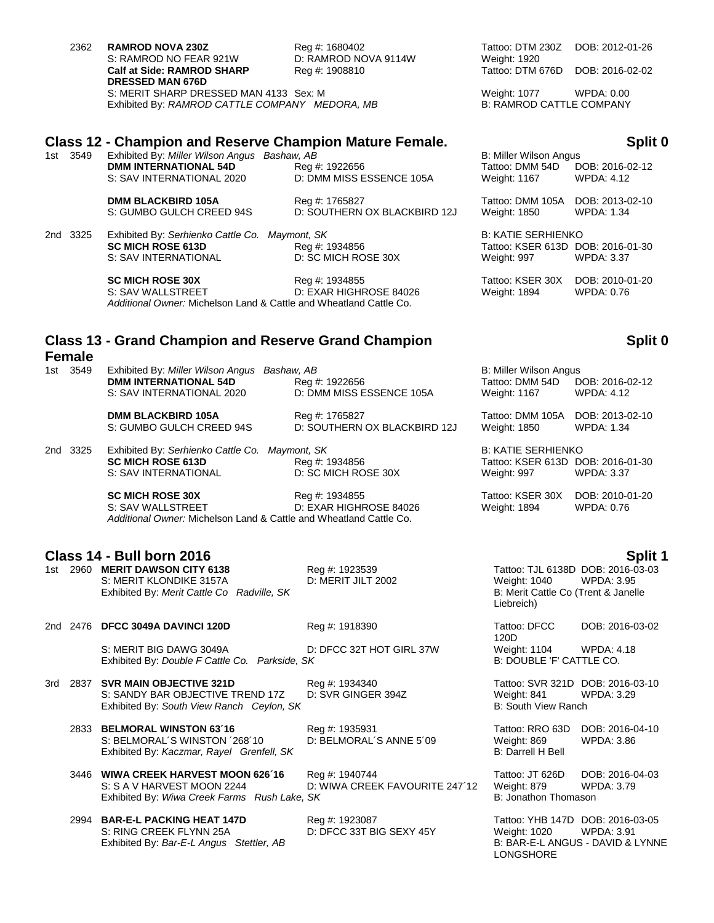| 2362 | <b>RAMROD NOVA 230Z</b>                        | Reg #: 1680402    |
|------|------------------------------------------------|-------------------|
|      | S: RAMROD NO FEAR 921W                         | D: RAMROD NOVA 91 |
|      | <b>Calf at Side: RAMROD SHARP</b>              | Reg #: 1908810    |
|      | <b>DRESSED MAN 676D</b>                        |                   |
|      | S: MERIT SHARP DRESSED MAN 4133 Sex: M         |                   |
|      | Exhibited By: RAMROD CATTLE COMPANY MEDORA, MB |                   |
|      |                                                |                   |

### **Class 12 - Champion and Reserve Champion Mature Female. Split 0**

| 1st 3549 | Exhibited By: Miller Wilson Angus Bashaw, AB              |                                            |                                 | B: Miller Wilson Angus        |  |
|----------|-----------------------------------------------------------|--------------------------------------------|---------------------------------|-------------------------------|--|
|          | <b>DMM INTERNATIONAL 54D</b><br>S: SAV INTERNATIONAL 2020 | Reg #: 1922656<br>D: DMM MISS ESSENCE 105A | Tattoo: DMM 54D<br>Weight: 1167 | DOB: 2016-02-12<br>WPDA: 4.12 |  |
|          |                                                           |                                            |                                 |                               |  |

**DMM BLACKBIRD 105A** Reg #: 1765827<br>S: GUMBO GULCH CREED 94S D: SOUTHERN

D: SOUTHERN OX BLACKBIRD 12J

2nd 3325 Exhibited By: Serhienko Cattle Co. Maymont, SK **SC MICH ROSE 613D** Reg #: 1934856 S: SAV INTERNATIONAL D: SC MICH ROSE 30X

> **SC MICH ROSE 30X** Reg #: 1934855 S: SAV WALLSTREET D: EXAR HIGHROSE 84026 Weight: 1894 WPDA: 0.76 *Additional Owner:* Michelson Land & Cattle and Wheatland Cattle Co.

# **Class 13 - Grand Champion and Reserve Grand Champion**

### **Female**

| 1st 3549 | Exhibited By: Miller Wilson Angus Bashaw, AB<br><b>DMM INTERNATIONAL 54D</b><br>S: SAV INTERNATIONAL 2020 | Reg #: 1922656<br>D: DMM MISS ESSENCE 105A     | B: Miller Wilson Angus<br>Tattoo: DMM 54D<br>Weight: 1167 | DOB: 2016-02-12<br>WPDA: 4.12 |
|----------|-----------------------------------------------------------------------------------------------------------|------------------------------------------------|-----------------------------------------------------------|-------------------------------|
|          | <b>DMM BLACKBIRD 105A</b><br>S: GUMBO GULCH CREED 94S                                                     | Reg #: 1765827<br>D: SOUTHERN OX BLACKBIRD 12J | Tattoo: DMM 105A DOB: 2013-02-10<br>Weight: 1850          | WPDA: 1.34                    |

2nd 3325 Exhibited By: *Serhienko Cattle Co. Maymont, SK* B: KATIE SERHIENKO<br>Reg #: 1934856 **B: AREA BER 613D DISPEMENTE** S: SAV INTERNATIONAL D: SC MICH ROSE 30X Weight: 997 WPDA: 3.37

> **SC MICH ROSE 30X Reg #: 1934855** Tattoo: KSER 30X DOB: 2010-01-20 S: SAV WALLSTREET **D: EXAR HIGHROSE 84026** Weight: 1894 WPDA: 0.76 *Additional Owner:* Michelson Land & Cattle and Wheatland Cattle Co.

## **Class 14 - Bull born 2016 Split 1**

| 1st | 2960 MERIT DAWSON CITY 6138                |  |
|-----|--------------------------------------------|--|
|     | S: MERIT KLONDIKE 3157A                    |  |
|     | Exhibited By: Merit Cattle Co Radville, SK |  |

### 2nd 2476 **DFCC 3049A DAVINCI 120D** Reg #: 1918390 Tattoo: DFCC

S: MERIT BIG DAWG 3049A D: DFCC 32T HOT GIRL 37W Weight: 1104 WPDA: 4.18<br>Exhibited By: Double F Cattle Co. Parkside, SK B: DOUBLE 'F' CATTLE CO. Exhibited By: *Double F Cattle Co. Parkside, SK* 

### 3rd 2837 **SVR MAIN OBJECTIVE 321D** Reg #: 1934340 Tattoo: SVR 321D DOB: 2016-03-10 S: SANDY BAR OBJECTIVE TREND 17Z D: SVR GINGER 394Z Weight: 841 WPDA: 3.29 Exhibited By: *South View Ranch Ceylon, SK* B: South View Ranch

2833 **BELMORAL WINSTON 63´16** Reg #: 1935931 Tattoo: RRO 63D DOB: 2016-04-10 S: BELMORAL´S WINSTON ´268´10 D: BELMORAL´S ANNE 5´09 Weight: 869 WPDA: 3.86<br>
Exhibited By: Kaczmar, Rayel Grenfell, SK Exhibited By: Kaczmar, Rayel Grenfell, SK

3446 **WIWA CREEK HARVEST MOON 626´16** Reg #: 1940744 Tattoo: JT 626D DOB: 2016-04-03 S: S A V HARVEST MOON 2244 D: WIWA CREEK FAVOURITE 247'12 Weight: 879 WPDA: 3.79 Exhibited By: *Wiwa Creek Farms Rush Lake, SK* B: Jonathon Thomason B: Jonathon Thomason

2994 **BAR-E-L PACKING HEAT 147D**<br>
2994 **BAR-E-L PACKING HEAT 147D** Reg #: 1923087 Tattoo: YHB 147D DOB: 2016-03-05<br>
2994 BAR-E-L PACKING HEAT 147D REG 315 BIG SEXY 45Y Weight: 1020 WPDA: 3.91 S: RING CREEK FLYNN 25A D: DFCC 33T BIG SEXY 45Y Weight: 1020 WPDA: 3.91 Exhibited By: *Bar-E-L Angus Stettler, AB* B: BAR-E-L ANGUS - DAVID & LYNNE

2302 **RAMPO NOVA 2302 DOB: 2012-01-26<br>2301 Weight: 1920** Weight: 1920 Tattoo: DTM 676D DOB: 2016-02-02

> Weight: 1077 WPDA: 0.00 B: RAMROD CATTLE COMPANY

| <b>B: Miller Wilson Angus</b><br>Tattoo: DMM 54D<br>Weight: 1167       | DOB: 2016-02-12<br><b>WPDA: 4.12</b> |
|------------------------------------------------------------------------|--------------------------------------|
| Tattoo: DMM 105A<br>Weight: 1850                                       | DOB: 2013-02-10<br><b>WPDA: 1.34</b> |
| B: KATIE SERHIENKO<br>Tattoo: KSER 613D DOB: 2016-01-30<br>Weight: 997 | <b>WPDA: 3.37</b>                    |
| Tattoo: KSER 30X                                                       | DOB: 2010-01-20                      |

# **Split 0**

| B: Miller Wilson Angus |                   |  |  |
|------------------------|-------------------|--|--|
| Tattoo: DMM 54D        | DOB: 2016-02-12   |  |  |
| Weight: 1167           | <b>WPDA: 4.12</b> |  |  |

Tattoo: KSER 613D DOB: 2016-01-30

1st 2960 **MERIT DAWSON CITY 6138** Reg #: 1923539 Tattoo: TJL 6138D DOB: 2016-03-03 D: MERIT JILT 2002 Weight: 1040 WPDA: 3.95 B: Merit Cattle Co (Trent & Janelle, Liebreich)

> 120D DOB: 2016-03-02

LONGSHORE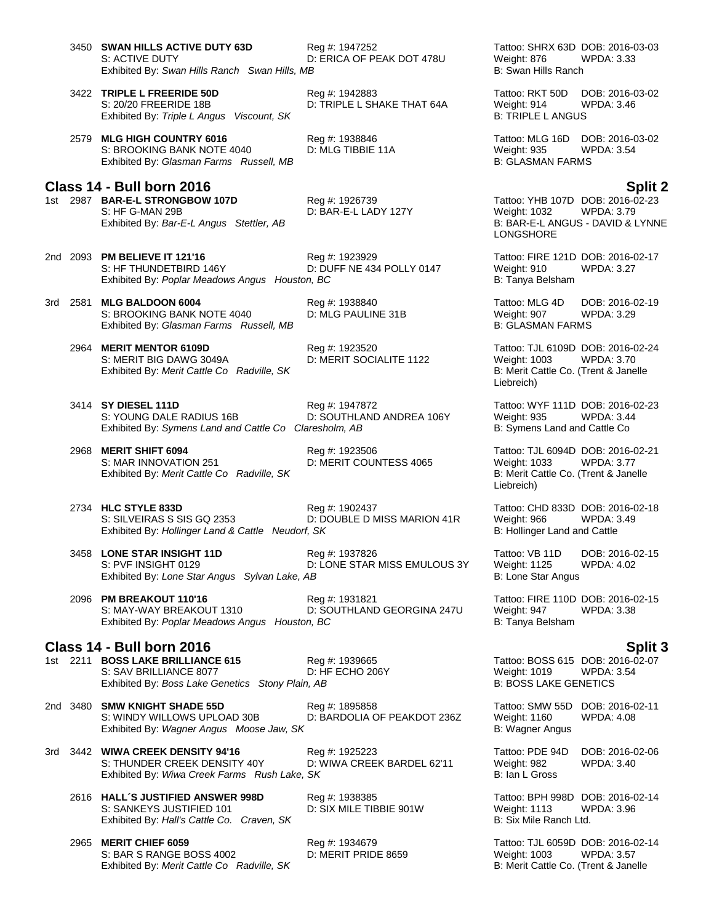- 3450 **SWAN HILLS ACTIVE DUTY 63D** Reg #: 1947252 Tattoo: SHRX 63D DOB: 2016-03-03 S: ACTIVE DUTY **DELLA OF PEAK DOT 478U** Weight: 876 WPDA: 3.33 Exhibited By: *Swan Hills Ranch* Swan Hills, MB B: Swan Hills Ranch
- 3422 **TRIPLE L FREERIDE 50D** Reg #: 1942883 Tattoo: RKT 50D DOB: 2016-03-02 S: 20/20 FREERIDE 18B D: TRIPLE L SHAKE THAT 64A Weight: 914 WPDA: 3.46 Exhibited By: Triple L Angus Viscount, SK B: TRIPLE L ANGUS
- 2579 **MLG HIGH COUNTRY 6016** Reg #: 1938846 Tattoo: MLG 16D DOB: 2016-03-02 S: BROOKING BANK NOTE 4040 D: MLG TIBBIE 11A Weight: 935 WPDA: 3.54 Exhibited By: *Glasman Farms Russell, MB* B: GLASMAN FARMS

# **Class 14 - Bull born 2016 Split 2**

1st 2987 **BAR-E-L STRONGBOW 107D** S: HF G-MAN 29B **D: BAR-E-L LADY 127Y** Weight: 1032 WPDA: 3.79<br>Exhibited By: Bar-E-L Angus Stettler, AB B: BAR-E-L ANGUS - DAVID & LYNNE Exhibited By: Bar-E-L Angus Stettler, AB

- 2nd 2093 **PM BELIEVE IT 121'16** Reg #: 1923929 Tattoo: FIRE 121D DOB: 2016-02-17<br>S: HF THUNDETBIRD 146Y D: DUFF NE 434 POLLY 0147 Weight: 910 WPDA: 3.27 D: DUFF NE 434 POLLY 0147 Exhibited By: Poplar Meadows Angus Houston, BC **B: Tanya Belsham** B: Tanya Belsham
- 3rd 2581 **MLG BALDOON 6004** Reg #: 1938840 Tattoo: MLG 4D DOB: 2016-02-19 S: BROOKING BANK NOTE 4040 D: MLG PAULINE 31B Weight: 907 WPDA: 3.29 Exhibited By: *Glasman Farms Russell, MB* B: GLASMAN FARMS

- 2964 **MERIT MENTOR 6109D** Reg #: 1923520 Tattoo: TJL 6109D DOB: 2016-02-24 S: MERIT BIG DAWG 3049A D: MERIT SOCIALITE 1122 Weight: 1003 WPDA: 3.70 Exhibited By: *Merit Cattle Co Radville, SK* B: Merit Cattle Co. (Trent & Janelle
- 3414 **SY DIESEL 111D**<br>3414 **SY DIESEL 111D** DOB: 2016-02-23<br>5. S: YOUNG DALE RADIUS 16B D: SOUTHLAND ANDREA 106Y Weight: 935 WPDA: 3.44 S: YOUNG DALE RADIUS 16B D: SOUTHLAND ANDREA 106Y Weight: 935 WPDA: 3.44<br>Exhibited By: Symens Land and Cattle Co Claresholm, AB B: Symens Land and Cattle Co Exhibited By: Symens Land and Cattle Co Claresholm, AB
- 2968 **MERIT SHIFT 6094** Reg #: 1923506 Tattoo: TJL 6094D DOB: 2016-02-21 Exhibited By: Merit Cattle Co Radville, SK

- 2734 **HLC STYLE 833D** Reg #: 1902437 Tattoo: CHD 833D DOB: 2016-02-18 S: SILVEIRAS S SIS GQ 2353 D: DOUBLE D MISS MARION 41R Weight: 966 WPDA: 3.49<br>Exhibited By: Hollinger Land & Cattle Neudorf, SK B: Hollinger Land and Cattle Exhibited By: *Hollinger Land & Cattle Neudorf, SK*
- 3458 **LONE STAR INSIGHT 11D** Reg #: 1937826 Tattoo: VB 11D DOB: 2016-02-15 S: PVF INSIGHT 0129 D: LONE STAR MISS EMULOUS 3Y Weight: 1125 WPDA: 4.02<br>Exhibited By: Lone Star Angus Sylvan Lake, AB B: Lone Star Angus Exhibited By: Lone Star Angus Sylvan Lake, AB
- 2096 **PM BREAKOUT 110'16** Reg #: 1931821 Tattoo: FIRE 110D DOB: 2016-02-15 D: SOUTHLAND GEORGINA 247U Weight: 947<br>m, BC B: Tanya Belsham Exhibited By: Poplar Meadows Angus Houston, BC

### **Class 14 - Bull born 2016 Split 3**

1st 2211 **BOSS LAKE BRILLIANCE 615**<br>1st 2211 **BOSS LAKE BRILLIANCE 6077** Reg #: 1939665 Tattoo: BOSS 615 DOB: 2016-02-07<br>19 D: HF ECHO 206Y Reght: 1019 WPDA: 3.54 S: SAV BRILLIANCE 8077 **D: HF ECHO 206Y** Weight: 1019 WPDA:<br>Exhibited By: *Boss Lake Genetics Stony Plain. AB* B: BOSS LAKE GENETICS Exhibited By: Boss Lake Genetics Stony Plain, AB

2nd 3480 **SMW KNIGHT SHADE 55D** Reg #: 1895858 Tattoo: SMW 55D DOB: 2016-02-11 D: BARDOLIA OF PEAKDOT 236Z Weight: 1160<br>B: Wagner Angus Exhibited By: Wagner Angus Moose Jaw, SK

3rd 3442 **WIWA CREEK DENSITY 94'16** Reg #: 1925223 **Tattoo: PDE 94D DOB: 2016-02-06**<br>S: THUNDER CREEK DENSITY 40Y D: WIWA CREEK BARDEL 62'11 Weight: 982 WPDA: 3.40 S: THUNDER CREEK DENSITY 40Y D: WIWA CREEK BARDEL 62'11 Weight: 982 WPDA: 3.40<br>Exhibited By: Wiwa Creek Farms Rush Lake, SK B: 1an L Gross B: 1an L Gross Exhibited By: Wiwa Creek Farms Rush Lake, SK

2616 **HALL´S JUSTIFIED ANSWER 998D** Reg #: 1938385 Tattoo: BPH 998D DOB: 2016-02-14 S: SANKEYS JUSTIFIED 101 D: SIX MILE TIBBIE 901W Weight: 1113 WPDA: 3.96<br>Exhibited By: Hall's Cattle Co. Craven, SK B: Six Mile Ranch Ltd. Exhibited By: Hall's Cattle Co. Craven, SK

2965 **MERIT CHIEF 6059** Reg #: 1934679 Tattoo: TJL 6059D DOB: 2016-02-14 S: BAR S RANGE BOSS 4002 D: MERIT PRIDE 8659 Weight: 1003 WPDA: 3.57 Exhibited By: *Merit Cattle Co Radville, SK* B: Merit Cattle Co. (Trent & Janelle

LONGSHORE

Liebreich)

D: MERIT COUNTESS 4065 Weight: 1033 WPDA: 3.77<br>B: Merit Cattle Co. (Trent & Janelle Liebreich)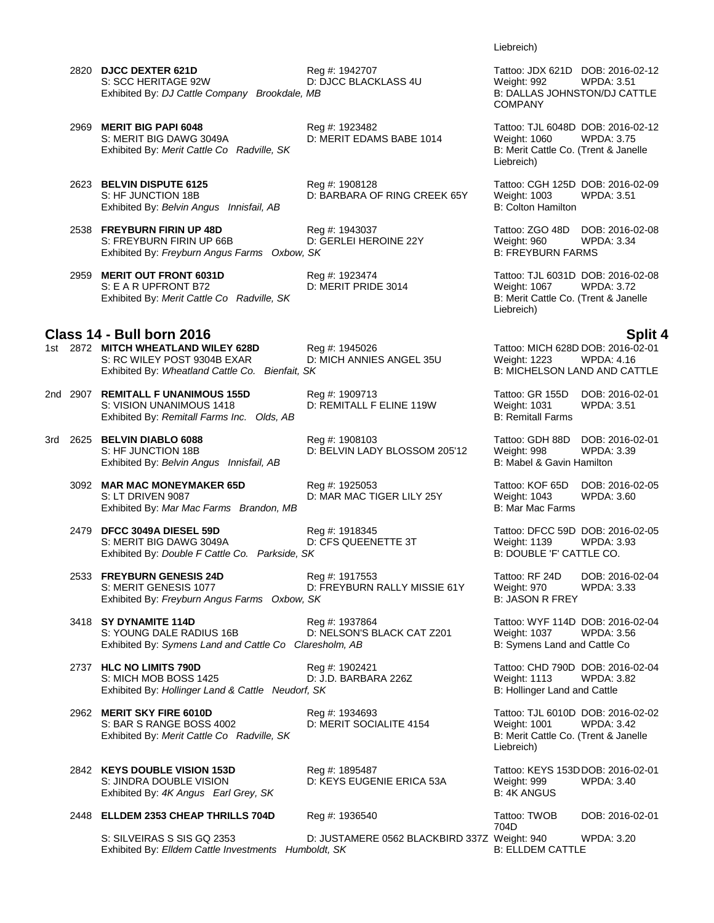2820 **DJCC DEXTER 621D**<br>2820 **DJCC DEXTER 621D** Reg #: 1942707 Tattoo: JDX 621D DOB: 2016-02-12<br>251 D: DJCC BLACKLASS 4U Weight: 992 WPDA: 3.51 S: SCC HERITAGE 92W D: DJCC BLACKLASS 4U Weight: 992 Exhibited By: *DJ Cattle Company Brookdale, MB* B: DALLAS JOHNSTON/DJ CATTLE

2969 **MERIT BIG PAPI 6048** Reg #: 1923482 Tattoo: TJL 6048D DOB: 2016-02-12 S: MERIT BIG DAWG 3049A D: MERIT EDAMS BABE 1014 Weight: 1060 WPDA: 3.75 Exhibited By: *Merit Cattle Co Radville, SK* B: Merit Cattle Co. (Trent & Janelle

2623 **BELVIN DISPUTE 6125** Reg #: 1908128 Tattoo: CGH 125D DOB: 2016-02-09 S: HF JUNCTION 18B **D: BARBARA OF RING CREEK 65Y** Weight: 1003 WPDA: 3.51<br>Exhibited By: Belvin Angus Innisfail, AB B: Colton Hamilton B: Colton Hamilton Exhibited By: Belvin Angus Innisfail, AB

- 2538 **FREYBURN FIRIN UP 48D** Reg #: 1943037 Tattoo: ZGO 48D DOB: 2016-02-08 S: FREYBURN FIRIN UP 66B B<br>
Exhibited By: Freyburn Angus Farms Oxbow, SK B: FREYBURN FARMS Exhibited By: Freyburn Angus Farms Oxbow, SK
- 2959 **MERIT OUT FRONT 6031D** Reg #: 1923474 Tattoo: TJL 6031D DOB: 2016-02-08<br>S: E A R UPFRONT B72 D: MERIT PRIDE 3014 Weight: 1067 WPDA: 3.72 Exhibited By: *Merit Cattle Co Radville, SK* B: Merit Cattle Co. (Trent & Janelle

### **Class 14 - Bull born 2016 Split 4**

1st 2872 **MITCH WHEATLAND WILEY 628D** Req #: 1945026 Tattoo: MICH 628D DOB: 2016-02-01 S: RC WILEY POST 9304B EXAR D: MICH ANNIES ANGEL 35U Weight: 1223 WPDA: 4.16 Exhibited By: *Wheatland Cattle Co. Bienfait, SK* B: MICHELSON LAND AND CATTLE

2nd 2907 **REMITALL F UNANIMOUS 155D** Reg #: 1909713 Tattoo: GR 155D DOB: 2016-02-01 S: VISION UNANIMOUS 1418 D: REMITALL F ELINE 119W Weight: 1031 WPDA: 3.51 Exhibited By: Remitall Farms Inc. Olds, AB

3rd 2625 **BELVIN DIABLO 6088** Reg #: 1908103 Reg 5 Tattoo: GDH 88D DOB: 2016-02-01<br>S: HF JUNCTION 18B D: BELVIN LADY BLOSSOM 205'12 Weight: 998 WPDA: 3.39 S: HF JUNCTION 18B **D: BELVIN LADY BLOSSOM 205'12** Weight: 998 WPDA: 5.398 WPDA: 6.399 WPDA: 5.399 WPDA: 5.399 Exhibited By: *Belvin Angus Innisfail. AB* Exhibited By: Belvin Angus Innisfail, AB

3092 **MAR MAC MONEYMAKER 65D** Reg #: 1925053 Tattoo: KOF 65D DOB: 2016-02-05 Exhibited By: Mar Mac Farms Brandon, MB

2479 **DFCC 3049A DIESEL 59D** Reg #: 1918345 Tattoo: DFCC 59D DOB: 2016-02-05 S: MERIT BIG DAWG 3049A D: CFS QUEENETTE 3T Weight: 1139 WPDA: 3.93 Exhibited By: *Double F Cattle Co. Parkside, SK* B: DOUBLE 'F' CATTLE CO.

2533 **FREYBURN GENESIS 24D** Reg #: 1917553 Tattoo: RF 24D DOB: 2016-02-04 S: MERIT GENESIS 1077 **D: FREYBURN RALLY MISSIE 61Y** Weight: 970 WPDA: 3.33<br>Exhibited By: *Freyburn Angus Farms Oxbow, SK* B: JASON R FREY Exhibited By: Freyburn Angus Farms Oxbow, SK

3418 **SY DYNAMITE 114D** Req #: 1937864 Tattoo: WYF 114D DOB: 2016-02-04 S: YOUNG DALE RADIUS 16B **DEXELS DE DE DELSON'S BLACK CAT Z201** Weight: 1037 WPDA: 3.56 Exhibited By: Symens Land and Cattle Co Claresholm, AB B: Symens Land and Cattle Co

2737 **HLC NO LIMITS 790D** Reg #: 1902421 Tattoo: CHD 790D DOB: 2016-02-04 S: MICH MOB BOSS 1425 D: J.D. BARBARA 226Z Weight: 1113 WPDA: 3.82 Exhibited By: *Hollinger Land & Cattle Neudorf, SK* B: *Hollinger Land and Cattle Publicatle 3* 

2962 **MERIT SKY FIRE 6010D** Reg #: 1934693 Tattoo: TJL 6010D DOB: 2016-02-02 S: BAR S RANGE BOSS 4002 D: MERIT SOCIALITE 4154 Weight: 1001 WPDA: 3.42 Exhibited By: *Merit Cattle Co Radville, SK* B: Merit Cattle Co. (Trent & Janelle

2448 **ELLDEM 2353 CHEAP THRILLS 704D** Reg #: 1936540 Tattoo: TWOB

2842 **KEYS DOUBLE VISION 153D** Reg #: 1895487 Tattoo: KEYS 153DDOB: 2016-02-01 D: KEYS EUGENIE ERICA 53A Exhibited By: 4K Angus Earl Grey, SK B: 4K ANGUS

704D<br>Weight: 940 DOB: 2016-02-01 S: SILVEIRAS S SIS GQ 2353 D: JUSTAMERE 0562 BLACKBIRD 337Z Weight: 940 WPDA: 3.20<br>Exhibited By: Eldem Cattle Investments Humboldt. SK B: ELLDEM CATTLE Exhibited By: Elldem Cattle Investments Humboldt, SK

Liebreich)

COMPANY

Liebreich)

Liebreich)

D: MAR MAC TIGER LILY 25Y Weight: 1043<br>B: Mar Mac Farms

Liebreich)

D: MERIT PRIDE 3014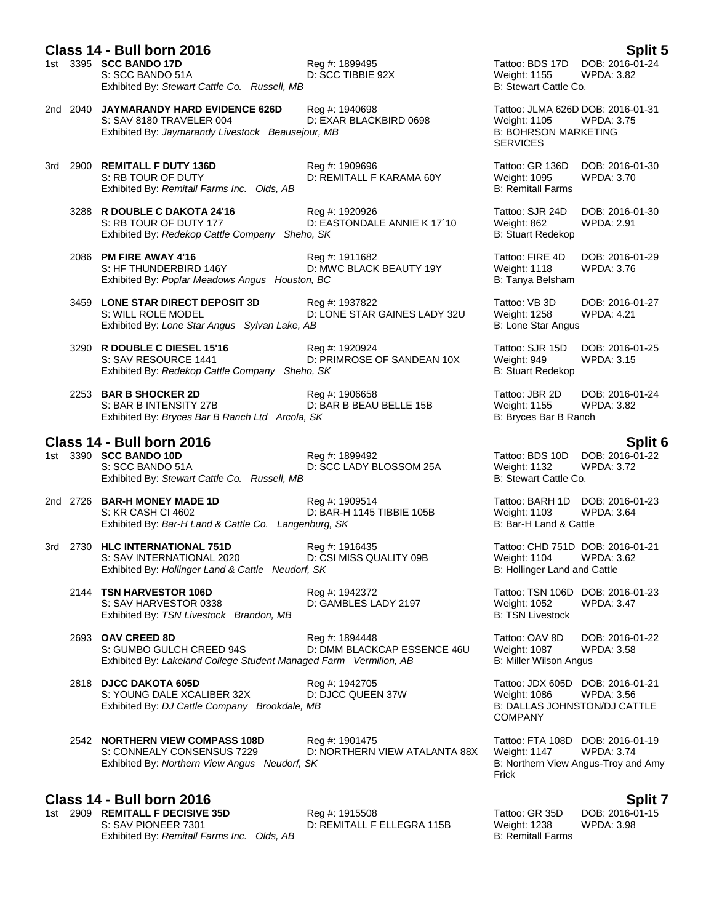# **Class 14 - Bull born 2016 Split 5**

S: SCC BANDO 51A D: SCC TIBBIE 92X Weight: 1155 WPDA: 3.82 Exhibited By: *Stewart Cattle Co. Russell, MB* B: Stewart Cattle Co. **B: Stewart Cattle Co.** 

2nd 2040 **JAYMARANDY HARD EVIDENCE 626D** Reg #: 1940698 Tattoo: JLMA 626D DOB: 2016-01-31 Exhibited By: Jaymarandy Livestock Beausejour, MB

- 3rd 2900 **REMITALL F DUTY 136D** Reg #: 1909696 Tattoo: GR 136D DOB: 2016-01-30 S: RB TOUR OF DUTY **DEXITALL F KARAMA 60Y** Weight: 1095 WPDA: 3.70<br>Exhibited By: *Remitall Farms Inc.* Olds. AB B: Remitall Farms B: Remitall Farms Exhibited By: Remitall Farms Inc. Olds, AB
	- 3288 **R DOUBLE C DAKOTA 24'16** Reg #: 1920926 **Tattoo: SJR 24D** DOB: 2016-01-30<br>S: RB TOUR OF DUTY 177 D: EASTONDALE ANNIE K 17'10 Weight: 862 WPDA: 2.91 Exhibited By: *Redekop Cattle Company Sheho, SK*
	- 2086 **PM FIRE AWAY 4'16** Reg #: 1911682 Tattoo: FIRE 4D DOB: 2016-01-29 D: MWC BLACK BEAUTY 19Y Exhibited By: *Poplar Meadows Angus Houston, BC* B: Tanya Belsham B: Tanya Belsham
	- 3459 **LONE STAR DIRECT DEPOSIT 3D** Reg #: 1937822 Tattoo: VB 3D DOB: 2016-01-27 S: WILL ROLE MODEL **DIGET ARE STAR GAINES LADY 32U** Weight: 1258 WPDA: 4.21 Exhibited By: *Lone Star Angus Sylvan Lake, AB* B: Lone Star Angus
	- 3290 **R DOUBLE C DIESEL 15'16** Reg #: 1920924 Tattoo: SJR 15D DOB: 2016-01-25 S: SAV RESOURCE 1441 D: PRIMROSE OF SANDEAN 10X Weight: 949 WPDA: 3.15 Exhibited By: *Redekop Cattle Company Sheho, SK* B: Stuart Redekop
	- 2253 **BAR B SHOCKER 2D** Reg #: 1906658 Tattoo: JBR 2D DOB: 2016-01-24 S: BAR B INTENSITY 27B D: BAR B BEAU BELLE 15B Weight: 1155 WPDA: 3.82<br>Exhibited By: *Bryces Bar B Ranch Ltd Arcola, SK* B: Bryces Bar B Ranch Exhibited By: *Bryces Bar B Ranch Ltd Arcola, SK*

- **Class 14 - Bull born 2016 Split 6** 1st 3390 **SCC BANDO 10D** Reg #: 1899492 **Tattoo: BDS 10D DOB: 2016-0**<br>S: SCC BANDO 51A D: SCC LADY BLOSSOM 25A Weight: 1132 WPDA: 3.72 D: SCC LADY BLOSSOM 25A Weight: 1132 Weight: 1132 Weight: 1132 WEDA: 3.722 WEDA: 3.722 WEDA: 3.7222 WEDA: 3.72 Exhibited By: Stewart Cattle Co. Russell, MB
- 2nd 2726 **BAR-H MONEY MADE 1D** Reg #: 1909514 Reg #: 1909514 Tattoo: BARH 1D DOB: 2016-01-23<br>S: KR CASH CI 4602 **D: BAR-H 1145 TIBBIE 105B** Weight: 1103 WPDA: 3.64 S: KR CASH CI 4602 D: BAR-H 1145 TIBBIE 105B Exhibited By: *Bar-H Land & Cattle Co. Langenburg, SK* B: Bar-H Land & Cattle B: Bar-H Land & Cattle
- 3rd 2730 **HLC INTERNATIONAL 751D** Reg #: 1916435 Tattoo: CHD 751D DOB: 2016-01-21 S: SAV INTERNATIONAL 2020 D: CSI MISS QUALITY 09B Weight: 1104 WPDA: 3.62 Exhibited By: *Hollinger Land & Cattle Neudorf, SK* B: *Hollinger Land and Cattle Publicatle 3* 
	- 2144 **TSN HARVESTOR 106D** Reg #: 1942372 Tattoo: TSN 106D DOB: 2016-01-23 S: SAV HARVESTOR 0338 COMBLES LADY 2197 COMBLES UNITS AND MEXALLES UNITS AT A WARD WARSTON ON A SAFE Exhibited By: TSN Livestock Brandon, MB B: TSN Livestock Brandon, MB B: TSN Livestock

2693 **OAV CREED 8D** Reg #: 1894448 Tattoo: OAV 8D DOB: 2016-01-22

- S: GUMBO GULCH CREED 94S D: DMM BLACKCAP ESSENCE 46U Weight: 1087 WPDA: 3.58 Exhibited By: *Lakeland College Student Managed Farm Vermilion, AB* B: Miller Wilson Angus
- 2818 **DJCC DAKOTA 605D** Reg #: 1942705 Tattoo: JDX 605D DOB: 2016-01-21 S: YOUNG DALE XCALIBER 32X D: DJCC QUEEN 37W Weight: 1086 WPDA: 3.56<br>
Exhibited By: DJ Cattle Company Brookdale, MB B: DALLAS JOHNSTON/DJ CATTLE Exhibited By: *DJ Cattle Company Brookdale, MB*
- 2542 **NORTHERN VIEW COMPASS 108D** Reg #: 1901475 Tattoo: FTA 108D DOB: 2016-01-19 Exhibited By: *Northern View Angus Neudorf, SK*

# **Class 14 - Bull born 2016 Split 7**

1st 2909 **REMITALL F DECISIVE 35D** Reg #: 1915508 Tattoo: GR 35D S: SAV PIONEER 7301 D: REMITALL F ELLEGRA 115B Weight: 1238 WPDA: 3.98 Exhibited By: *Remitall Farms Inc. Olds, AB* B: Remitall Farms **B: Remitall Farms** 

Reg #: 1899495 Tattoo: BDS 17D DOB: 2016-01-24

D: EXAR BLACKBIRD 0698 Weight: 1105 WPDA: 3.756 WPDA: 3.756 WPDA: 3.756 WPDA: 3.756 WPDA: 3.756 WPDA: 3.756 WPD **SERVICES** 

D: EASTONDALE ANNIE K 17´10 Weight: 862<br>10. SK B: Stuart Redekop

COMPANY

D: NORTHERN VIEW ATALANTA 88X Weight: 1147 WPDA: 3.74<br>SK B: Northern View Angus-Troy and Amy Frick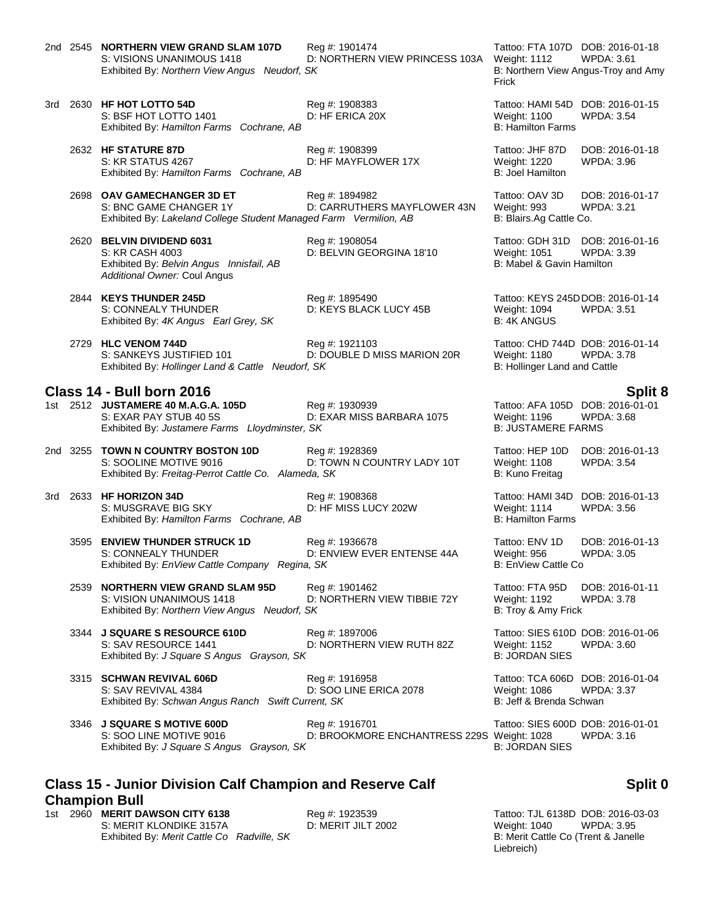- 2nd 2545 **NORTHERN VIEW GRAND SLAM 107D** Reg #: 1901474 Tattoo: FTA 107D DOB: 2016-01-18<br>S: VISIONS UNANIMOUS 1418 D: NORTHERN VIEW PRINCESS 103A Weight: 1112 WPDA: 3.61 Exhibited By: *Northern View Angus Neudorf, SK* B: Northern View Angus-Troy and Amy
- 3rd 2630 **HF HOT LOTTO 54D** Reg #: 1908383 Tattoo: HAMI 54D DOB: 2016-01-15 S: BSF HOT LOTTO 1401 D: HF ERICA 20X Weight: 1100 WPDA: 3.54 Exhibited By: *Hamilton Farms Cochrane, AB* B: Hamilton Farms Cochrane, AB
	- 2632 **HF STATURE 87D** Reg #: 1908399 Tattoo: JHF 87D DOB: 2016-01-18 S: KR STATUS 4267 D: HF MAYFLOWER 17X Weight: 1220 WPDA: 3.96 Exhibited By: *Hamilton Farms Cochrane, AB* B: Joel Hamilton B: Joel Hamilton

- 2698 **OAV GAMECHANGER 3D ET** Reg #: 1894982 Tattoo: OAV 3D DOB: 2016-01-17 D: CARRUTHERS MAYFLOWER 43N Weight: 993 WI<br>
ged Farm Vermilion, AB B: Blairs.Ag Cattle Co. Exhibited By: *Lakeland College Student Managed Farm Vermilion, AB*
- 2620 **BELVIN DIVIDEND 6031** Reg #: 1908054 Tattoo: GDH 31D DOB: 2016-01-16 S: KR CASH 4003 D: BELVIN GEORGINA 18'10 Weight: 1051 WPDA: 3.39 Exhibited By: *Belvin Angus Innisfail, AB* B: Mabel & Gavin Hamilton B: Mabel & Gavin Hamilton *Additional Owner:* Coul Angus
	-
	- S: CONNEALY THUNDER **D: KEYS BLACK LUCY 45B** Weight: 1094 WPDA: 3.51<br>
	Exhibited By: 4K Angus Earl Grey, SK B: 4K ANGUS Exhibited By: 4K Angus Earl Grey, SK

2729 **HLC VENOM 744D** Reg #: 1921103 Tattoo: CHD 744D DOB: 2016-01-14<br>S: SANKEYS JUSTIFIED 101 D: DOUBLE D MISS MARION 20R Weight: 1180 WPDA: 3.78 D: DOUBLE D MISS MARION 20R Weight: 1180 WPDA: 3.5<br>F. SK B: Hollinger Land and Cattle Exhibited By: *Hollinger Land & Cattle Neudorf, SK* 

### **Class 14 - Bull born 2016 Split 8**

1st 2512 **JUSTAMERE 40 M.A.G.A. 105D** Reg #: 1930939 Tattoo: AFA 105D DOB: 2016-01-01 D: EXAR MISS BARBARA 1075 Weight: 1196 WPD<br>SK B: JUSTAMERE FARMS Exhibited By: Justamere Farms Lloydminster, SK

- 2nd 3255 **TOWN N COUNTRY BOSTON 10D** Reg #: 1928369 **Tattoo: HEP 10D DOB: 2016-01-13**<br>S: SOOLINE MOTIVE 9016 D: TOWN N COUNTRY LADY 10T Weight: 1108 WPDA: 3.54 D: TOWN N COUNTRY LADY 10T Weight: 1108<br>da, SK B: Kuno Freitag Exhibited By: Freitag-Perrot Cattle Co. Alameda, SK
- 3rd 2633 **HF HORIZON 34D** Reg #: 1908368 Tattoo: HAMI 34D DOB: 2016-01-13<br>S: MUSGRAVE BIG SKY D: HF MISS LUCY 202W Weight: 1114 WPDA: 3.56 S: MUSGRAVE BIG SKY D: HF MISS LUCY 202W Weight: 1114 WPDA: 3.56 Exhibited By: *Hamilton Farms Cochrane, AB* B: Hamilton Farms **B: Hamilton Farms** Cochrane, AB
	- 3595 **ENVIEW THUNDER STRUCK 1D** Reg #: 1936678 Tattoo: ENV 1D DOB: 2016-01-13 S: CONNEALY THUNDER D: ENVIEW EVER ENTENSE 44A Weight: 956 WPDA: 3.05 Exhibited By: *EnView Cattle Company Regina, SK* B: EnView Cattle Company Regina, SK
	- 2539 **NORTHERN VIEW GRAND SLAM 95D** Reg #: 1901462 Tattoo: FTA 95D DOB: 2016-01-11 S: VISION UNANIMOUS 1418 D: NORTHERN VIEW TIBBIE 72Y Weight: 1192 V<br>Exhibited By: Northern View Angus Neudorf, SK B: Troy & Amy Frick Exhibited By: Northern View Angus Neudorf, SK

3344 **J SQUARE S RESOURCE 610D** Reg #: 1897006 Tattoo: SIES 610D DOB: 2016-01-06 S: SAV RESOURCE 1441 D: NORTHERN VIEW RUTH 82Z Weight: 1152 WPDA: 3.60 Exhibited By: *J Square S Angus Grayson, SK* 

3315 **SCHWAN REVIVAL 606D** Reg #: 1916958 **Tattoo: TCA 606D DOB: 2016-01-04** Reg #: 1916958 Tattoo: TCA 606D DOB: 2016-01-04<br>S: SAV REVIVAL 4384 D: SOO LINE ERICA 2078 Weight: 1086 WPDA: 3.37 S: SAV REVIVAL 4384 D: SOO LINE ERICA 2078 Weight: 1086 WPDA: 3.37 Exhibited By: *Schwan Angus Ranch Swift Current, SK* B: Jeff & Brenda Schwan

3346 **J SQUARE S MOTIVE 600D** Reg #: 1916701 Reg **Reg 10 CONSENSES 600D DOB: 2016-01-01** S: SOO LINE MOTIVE 9016 **DE BROOKMORE ENCHANTRESS 229S Weight: 1028** WPDA: 3.16 Exhibited By: *J Square S Angus Grayson, SK* B: JORDAN SIES

## **Class 15 - Junior Division Calf Champion and Reserve Calf Champion Bull**

1st 2960 **MERIT DAWSON CITY 6138** Reg #: 1923539 Tattoo: TJL 6138D DOB: 2016-03-03 S: MERIT KLONDIKE 3157A D: MERIT JILT 2002 Weight: 1040 WPDA: 3.95 Exhibited By: *Merit Cattle Co Radville, SK* B: Merit Cattle Co (Trent & Janelle

D: NORTHERN VIEW PRINCESS 103A Weight: 1112 Frick

2844 **KEYS THUNDER 245D** Reg #: 1895490 Tattoo: KEYS 245DDOB: 2016-01-14

**Split 0**

Liebreich)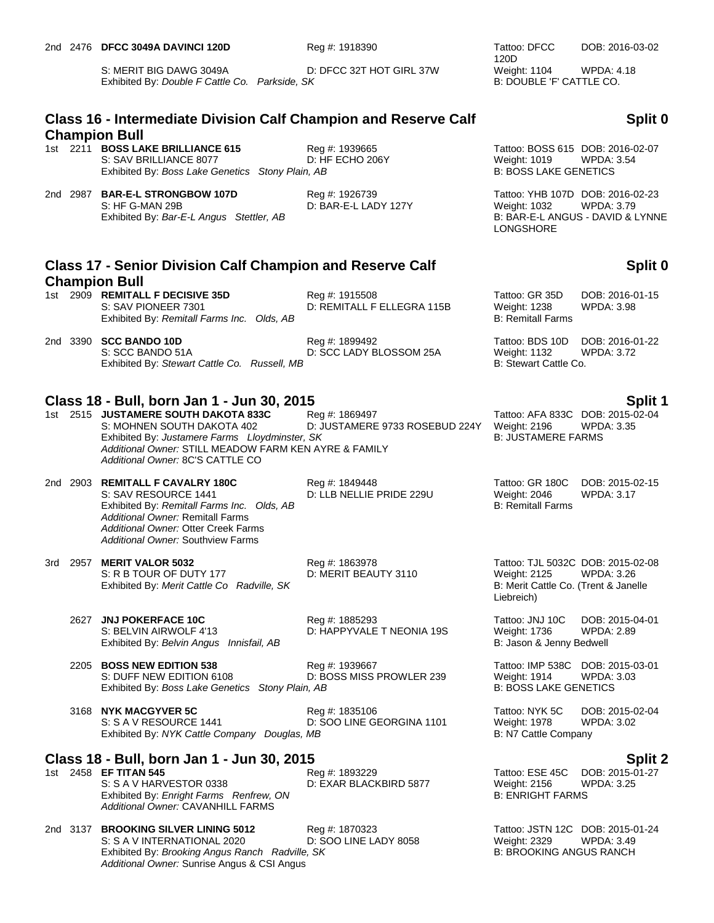S: MERIT BIG DAWG 3049A D: DFCC 32T HOT GIRL 37W Weight: 1104 WPDA: 4.18<br>Exhibited By: Double F Cattle Co. Parkside. SK B: DOUBLE 'F' CATTLE CO. Exhibited By: *Double F Cattle Co. Parkside, SK* 

## **Class 16 - Intermediate Division Calf Champion and Reserve Calf Champion Bull**

1st 2211 **BOSS LAKE BRILLIANCE 615**<br>1st 2211 **BOSS LAKE BRILLIANCE 615**<br>1. D: HF ECHO 206Y DEREGEND Weight: 1019 WPDA: 3.54 S: SAV BRILLIANCE 8077 D: HF ECHO 206Y Weight: 1019 WPDA:<br>Exhibited By: Boss Lake Genetics Stony Plain, AB B: BOSS LAKE GENETICS Exhibited By: *Boss Lake Genetics Stony Plain, AB* 

2nd 2987 **BAR-E-L STRONGBOW 107D** Reg #: 1926739 Tattoo: YHB 107D DOB: 2016-02-23 S: HF G-MAN 29B **D: BAR-E-L LADY 127Y** Weight: 1032 WPDA: 3.79<br>Exhibited By: *Bar-E-L Angus Stettler, AB* B: BAR-E-L ANGUS - DAVID & LYNNE Exhibited By: Bar-E-L Angus Stettler, AB

# **Class 17 - Senior Division Calf Champion and Reserve Calf Champion Bull**

| 1st. | 2909 REMITALL F DECISIVE 35D               |  |
|------|--------------------------------------------|--|
|      | S: SAV PIONEER 7301                        |  |
|      | Exhibited By: Remitall Farms Inc. Olds, AB |  |

2nd 3390 **SCC BANDO 10D**<br>22. S: SCC BANDO 51A **Reg #: 1899492** Tattoo: BDS 10D DOB: 2016-01-22<br>21. D: SCC LADY BLOSSOM 25A Weight: 1132 WPDA: 3.72 S: SCC BANDO 51A **D: SCC LADY BLOSSOM 25A** Weight: 1132 W<br>Exhibited By: Stewart Cattle Co. Russell. MB D: 3.72.722.722.72.72.72.72.72.72.8.72 Exhibited By: Stewart Cattle Co. Russell, MB

# **Class 18 - Bull, born Jan 1 - Jun 30, 2015 Split 1**

1st 2515 **JUSTAMERE SOUTH DAKOTA 833C** Reg #: 1869497 Tattoo: AFA 833C DOB: 2015-02-04 S: MOHNEN SOUTH DAKOTA 402 D: JUSTAMERE 9733 ROSEBUD 224Y Weight: 2196 WPDA: 3.35 Exhibited By: Justamere Farms Lloydminster, SK B: JUSTAMERE FARMS *Additional Owner:* STILL MEADOW FARM KEN AYRE & FAMILY *Additional Owner:* 8C'S CATTLE CO

### 2nd 2903 **REMITALL F CAVALRY 180C** Reg #: 1849448 Tattoo: GR 180C DOB: 2015-02-15 S: SAV RESOURCE 1441 D: LLB NELLIE PRIDE 229U Weight: 2046 WPDA: 3.17 Exhibited By: *Remitall Farms Inc. Olds, AB* B: Remitall Farms **B: Remitall Farms** *Additional Owner:* Remitall Farms *Additional Owner:* Otter Creek Farms *Additional Owner:* Southview Farms

3rd 2957 **MERIT VALOR 5032** Reg #: 1863978 Tattoo: TJL 5032C DOB: 2015-02-08 S: R B TOUR OF DUTY 177 D: MERIT BEAUTY 3110 Weight: 2125 WPDA: 3.26<br>
Exhibited By: Merit Cattle Co Radville, SK B: Merit Cattle Co. (Trent & Janelle Exhibited By: Merit Cattle Co Radville, SK

2627 **JNJ POKERFACE 10C** Reg #: 1885293 Tattoo: JNJ 10C DOB: 2015-04-01 S: BELVIN AIRWOLF 4'13 D: HAPPYVALE T NEONIA 19S Weight: 1736 WPDA: 2.89 Exhibited By: *Belvin Angus Innisfail, AB* B: Jason & Jenny Bedwell

2205 **BOSS NEW EDITION 538** Reg #: 1939667 **Reg 10 Tattoo: IMP 538C DOB: 2015-03-01** Reg #: 1939667 **Tattoo: IMP 538C DOB: 2015-03-01** D: BOSS MISS PROWLER 239 Weight: 1914 WPDA: 3.03 S: DUFF NEW EDITION 6108 D: BOSS MISS PROWLER 239 Weight: 1914 Exhibited By: *Boss Lake Genetics Stony Plain, AB* B: BOSS LAKE GENETICS

3168 **NYK MACGYVER 5C** Reg #: 1835106 Tattoo: NYK 5C DOB: 2015-02-04<br>S: S A V RESOURCE 1441 D: SOO LINE GEORGINA 1101 Weight: 1978 WPDA: 3.02 S: S A V RESOURCE 1441 D: SOO LINE GEORGINA 1101 Weight: 1978 Exhibited By: *NYK Cattle Company Douglas, MB* B: N7 Cattle Company Douglas, MB

## **Class 18 - Bull, born Jan 1 - Jun 30, 2015 Split 2**

S: S A V HARVESTOR 0338 **D: EXAR BLACKBIRD 5877** Weight: 2156 WPDA: 3.25 UNITED BY: Enright Farms Renfrew, ON Exhibited By: Enright Farms Renfrew, ON *Additional Owner:* CAVANHILL FARMS

2nd 3137 **BROOKING SILVER LINING 5012** Reg #: 1870323 Tattoo: JSTN 12C DOB: 2015-01-24 S: S A V INTERNATIONAL 2020 D: SOO LINE LADY 8058 Weight: 2329 WPDA: 3.49 Exhibited By: *Brooking Angus Ranch Radville, SK* B: BROOKING ANGUS RANCH *Additional Owner:* Sunrise Angus & CSI Angus

120D<br>Weight: 1104 DOB: 2016-03-02

# **Split 0**

LONGSHORE

# **Split 0**

Reg #: 1915508 Tattoo: GR 35D DOB: 2016-01-15 D: REMITALL F ELLEGRA 115B Weight: 1238 WPDA: 3.98 **B: Remitall Farms** 

Liebreich)

1st 2458 **EF TITAN 545** Reg #: 1893229 Tattoo: ESE 45C DOB: 2015-01-27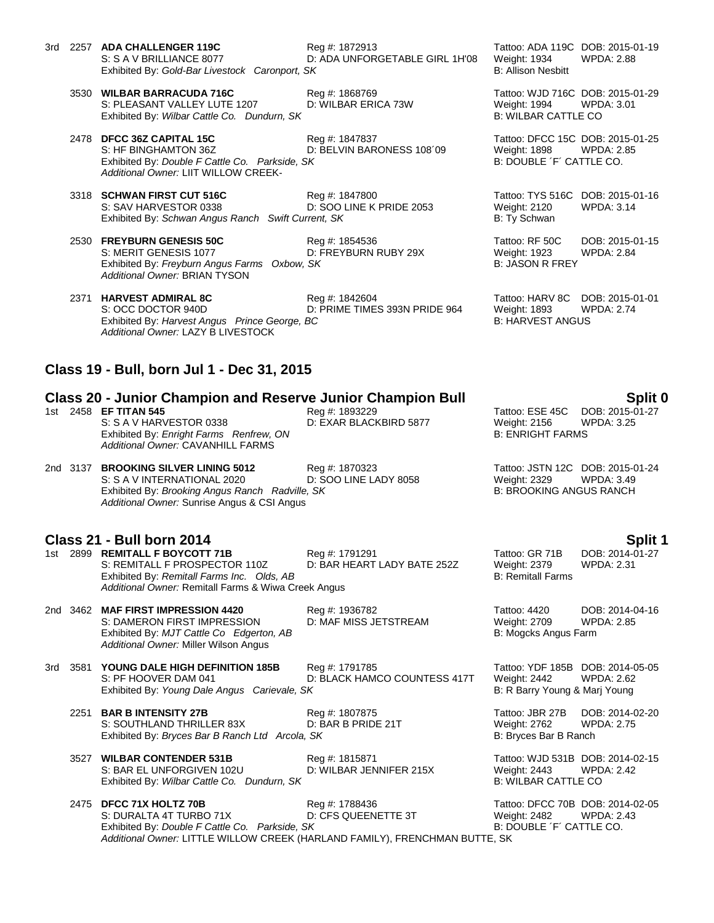- 3rd 2257 **ADA CHALLENGER 119C** Reg #: 1872913 Tattoo: ADA 119C DOB: 2015-01-19 Exhibited By: Gold-Bar Livestock Caronport, SK
	- 3530 **WILBAR BARRACUDA 716C** Reg #: 1868769 Tattoo: WJD 716C DOB: 2015-01-29 S: PLEASANT VALLEY LUTE 1207 D: WILBAR ERICA 73W Weight: 1994 WPDA: 3.01 Exhibited By: *Wilbar Cattle Co. Dundurn, SK* B: WILBAR CATTLE CO.
	- 2478 **DFCC 36Z CAPITAL 15C** Reg #: 1847837 Tattoo: DFCC 15C DOB: 2015-01-25 S: HF BINGHAMTON 36Z D: BELVIN BARONESS 108<sup>'09</sup> Weight: 1898 WPDA: 2.85 Exhibited By: *Double F Cattle Co. Parkside, SK* B: DOUBLE <sup>'F'</sup> CATTLE CO. *Additional Owner:* LIIT WILLOW CREEK-
	- 3318 **SCHWAN FIRST CUT 516C** Reg #: 1847800 Reg **Example 2053** Tattoo: TYS 516C DOB: 2015-01-16<br>S: SAV HARVESTOR 0338 D: SOO LINE K PRIDE 2053 Weight: 2120 WPDA: 3.14 D: SOO LINE K PRIDE 2053 Weight: 2120<br>
	rrent, SK B: Ty Schwan Exhibited By: *Schwan Angus Ranch Swift Current, SK*
	- 2530 **FREYBURN GENESIS 50C** Reg #: 1854536 Tattoo: RF 50C DOB: 2015-01-15 S: MERIT GENESIS 1077 D: FREYBURN RUBY 29X Weight: 1923 WPDA: 2.84 Exhibited By: *Freyburn Angus Farms Oxbow, SK* B: JASON R FREY *Additional Owner:* BRIAN TYSON
	- 2371 **HARVEST ADMIRAL 8C** Reg #: 1842604 Tattoo: HARV 8C DOB: 2015-01-01 S: OCC DOCTOR 940D D: PRIME TIMES 393N PRIDE 964 Weight: 1893 WPDA: 2.74<br>Exhibited By: Harvest Angus Prince George, BC B: HARVEST ANGUS Exhibited By: *Harvest Angus Prince George, BC Additional Owner:* LAZY B LIVESTOCK

### **Class 19 - Bull, born Jul 1 - Dec 31, 2015**

### **Class 20 - Junior Champion and Reserve Junior Champion Bull Split 0**

1st 2458 **EF TITAN 545** Reg #: 1893229 Tattoo: ESE 45C DOB: 2015-01-27 S: S A V HARVESTOR 0338 D: EXAR BLACKBIRD 5877 Weight: 2156 WPDA: 3.25 Exhibited By: *Enright Farms Renfrew, ON* B: ENRIGHT FARMS *Additional Owner:* CAVANHILL FARMS

2nd 3137 **BROOKING SILVER LINING 5012** Reg #: 1870323 Tattoo: JSTN 12C DOB: 2015-01-24 S: S A V INTERNATIONAL 2020 Exhibited By: *Brooking Angus Ranch Radville, SK* B: BROOKING ANGUS RANCH *Additional Owner:* Sunrise Angus & CSI Angus

### **Class 21 - Bull born 2014 Split 1**

1st 2899 **REMITALL F BOYCOTT 71B** Reg #: 1791291 Reg 2014-01-27<br>S: REMITALL F PROSPECTOR 110Z D: BAR HEART LADY BATE 252Z Weight: 2379 WPDA: 2.31 D: BAR HEART LADY BATE 252Z Weight: 2379<br>B: Remitall Farms Exhibited By: Remitall Farms Inc. Olds, AB *Additional Owner:* Remitall Farms & Wiwa Creek Angus

2nd 3462 **MAF FIRST IMPRESSION 4420** Reg #: 1936782 Tattoo: 4420 DOB: 2014-04-16 S: DAMERON FIRST IMPRESSION D: MAF MISS JETSTREAM Weight: 2709 Exhibited By: *MJT Cattle Co Edgerton, AB* B: Mogcks Angus Farm *Additional Owner:* Miller Wilson Angus

3rd 3581 **YOUNG DALE HIGH DEFINITION 185B** Reg #: 1791785 Tattoo: YDF 185B DOB: 2014-05-05 S: PF HOOVER DAM 041 D: BLACK HAMCO COUNTESS 417T Weight: 2442 WPDA: 2.62 Exhibited By: *Young Dale Angus Carievale, SK* B: R Barry Young & Marj Young B: R Barry Young & Marj Young

2251 **BAR B INTENSITY 27B** Reg #: 1807875 Tattoo: JBR 27B DOB: 2014-02-20 S: SOUTHLAND THRILLER 83X D: BAR B PRIDE 21T Weight: 2762 WPDA: 2.75 Exhibited By: *Bryces Bar B Ranch Ltd Arcola, SK* B: Bryces Bar B Ranch

3527 **WILBAR CONTENDER 531B** Reg #: 1815871 Tattoo: WJD 531B DOB: 2014-02-15<br>S: BAR EL UNFORGIVEN 102U D: WILBAR JENNIFER 215X Weight: 2443 WPDA: 2.42 S: BAR EL UNFORGIVEN 102U D: WILBAR JENNIFER 215X Weight: 2443 WPD<br>Exhibited By: Wilbar Cattle Co. Dundurn, SK B: 2.423 B: WILBAR CATTLE CO Exhibited By: Wilbar Cattle Co. Dundurn, SK

2475 **DFCC 71X HOLTZ 70B** Reg #: 1788436 Tattoo: DFCC 70B DOB: 2014-02-05 S: DURALTA 4T TURBO 71X D: CFS QUEENETTE 3T Weight: 2482 WPDA: 2.43 Exhibited By: *Double F Cattle Co. Parkside, SK* B: DOUBLE <sup>T</sup> CATTLE CO. *Additional Owner:* LITTLE WILLOW CREEK (HARLAND FAMILY), FRENCHMAN BUTTE, SK

D: ADA UNFORGETABLE GIRL 1H'08 Weight: 1934 WPDA: 2.88<br>SK B: Allison Nesbitt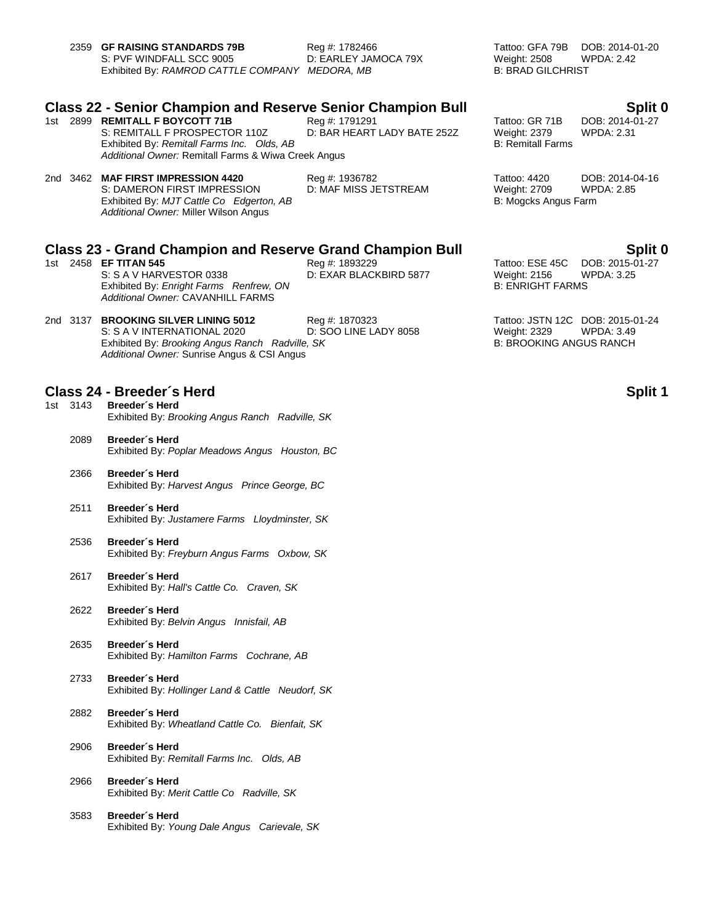| 2359 GF RAISING STANDARDS 79B                  | Reg #: 1782466       |
|------------------------------------------------|----------------------|
| S: PVF WINDFALL SCC 9005                       | D: EARLEY JAMOCA 79X |
| Exhibited By: RAMROD CATTLE COMPANY MEDORA, MB |                      |

Tattoo: GFA 79B DOB: 2014-01-20<br>Weight: 2508 WPDA: 2.42 Weight: 2508 **B: BRAD GILCHRIST** 

# **Class 22 - Senior Champion and Reserve Senior Champion Bull Split 0**

1st 2899 **REMITALL F BOYCOTT 71B** Reg #: 1791291 Reg **ALCOBED REMITALL F BOYCOTT 71B** S: REMITALL F PROSPECTOR 110Z D: BAR HEART LADY BATE 252Z Weight: 2379 WPDA: 2.31 Exhibited By: *Remitall Farms Inc. Olds, AB* B: Remitall Farms **B: Remitall Farms** *Additional Owner:* Remitall Farms & Wiwa Creek Angus

# 2nd 3462 **MAF FIRST IMPRESSION 4420** Reg #: 1936782 Tattoo: 4420 DOB: 2014-04-16

S: DAMERON FIRST IMPRESSION D: MAF MISS JETSTREAM Weight: 2709 WP<br>Exhibited By: MJT Cattle Co Edgerton, AB B: 2.855 B: 2.855 Mogcks Angus Farm Exhibited By: MJT Cattle Co Edgerton, AB *Additional Owner:* Miller Wilson Angus

# **Class 23 - Grand Champion and Reserve Grand Champion Bull Split 0**

1st 2458 **EF TITAN 545 Reg #: 1893229 Tattoo: ESE 45C DOB: 2015-01-28** Reg #: 1893229 Tattoo: ESE 45C DOB: 2015-0<br>2.5. S. S. A. V. HARVESTOR 0338 D: EXAR BLACKBIRD 5877 Weight: 2156 WPDA: 3.25 S: S A V HARVESTOR 0338 Exhibited By: *Enright Farms Renfrew, ON* B: ENRIGHT FARMS *Additional Owner:* CAVANHILL FARMS

2nd 3137 **BROOKING SILVER LINING 5012** Reg #: 1870323 Tattoo: JSTN 12C DOB: 2015-01-24 S: S A V INTERNATIONAL 2020 D: SOO LINE LADY 8058 Weight: 2329 WPDA: 3.49 Exhibited By: *Brooking Angus Ranch Radville, SK* B: BROOKING ANGUS RANCH *Additional Owner:* Sunrise Angus & CSI Angus

## **Class 24 - Breeder´s Herd Split 1**

- 1st 3143 **Breeder´s Herd** Exhibited By: *Brooking Angus Ranch Radville, SK*
	- 2089 **Breeder´s Herd** Exhibited By: *Poplar Meadows Angus Houston, BC*
	- 2366 **Breeder´s Herd** Exhibited By: *Harvest Angus Prince George, BC*
	- 2511 **Breeder´s Herd** Exhibited By: *Justamere Farms Lloydminster, SK*
	- 2536 **Breeder´s Herd** Exhibited By: *Freyburn Angus Farms Oxbow, SK*
	- 2617 **Breeder´s Herd** Exhibited By: *Hall's Cattle Co. Craven, SK*
	- 2622 **Breeder´s Herd** Exhibited By: *Belvin Angus Innisfail, AB*
	- 2635 **Breeder´s Herd** Exhibited By: *Hamilton Farms Cochrane, AB*
	- 2733 **Breeder´s Herd** Exhibited By: *Hollinger Land & Cattle Neudorf, SK*
	- 2882 **Breeder´s Herd** Exhibited By: *Wheatland Cattle Co. Bienfait, SK*
	- 2906 **Breeder´s Herd** Exhibited By: *Remitall Farms Inc. Olds, AB*
	- 2966 **Breeder´s Herd** Exhibited By: *Merit Cattle Co Radville, SK*
	- 3583 **Breeder´s Herd** Exhibited By: *Young Dale Angus Carievale, SK*